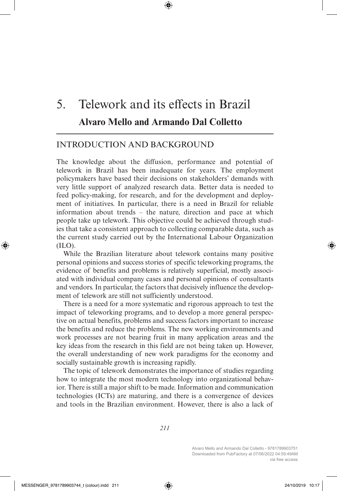# 5. Telework and its effects in Brazil **Alvaro Mello and Armando Dal Colletto**

## INTRODUCTION AND BACKGROUND

The knowledge about the diffusion, performance and potential of telework in Brazil has been inadequate for years. The employment policymakers have based their decisions on stakeholders' demands with very little support of analyzed research data. Better data is needed to feed policy-making, for research, and for the development and deployment of initiatives. In particular, there is a need in Brazil for reliable information about trends – the nature, direction and pace at which people take up telework. This objective could be achieved through studies that take a consistent approach to collecting comparable data, such as the current study carried out by the International Labour Organization (ILO).

While the Brazilian literature about telework contains many positive personal opinions and success stories of specific teleworking programs, the evidence of benefits and problems is relatively superficial, mostly associated with individual company cases and personal opinions of consultants and vendors. In particular, the factors that decisively influence the development of telework are still not sufficiently understood.

There is a need for a more systematic and rigorous approach to test the impact of teleworking programs, and to develop a more general perspective on actual benefits, problems and success factors important to increase the benefits and reduce the problems. The new working environments and work processes are not bearing fruit in many application areas and the key ideas from the research in this field are not being taken up. However, the overall understanding of new work paradigms for the economy and socially sustainable growth is increasing rapidly.

The topic of telework demonstrates the importance of studies regarding how to integrate the most modern technology into organizational behavior. There is still a major shift to be made. Information and communication technologies (ICTs) are maturing, and there is a convergence of devices and tools in the Brazilian environment. However, there is also a lack of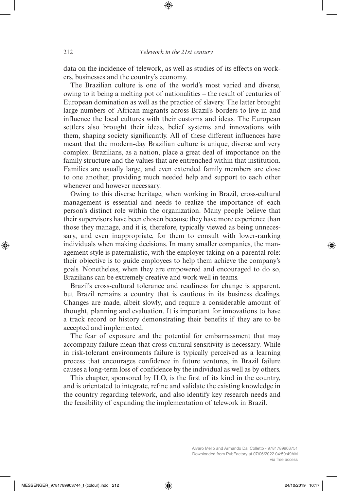data on the incidence of telework, as well as studies of its effects on workers, businesses and the country's economy.

The Brazilian culture is one of the world's most varied and diverse, owing to it being a melting pot of nationalities – the result of centuries of European domination as well as the practice of slavery. The latter brought large numbers of African migrants across Brazil's borders to live in and influence the local cultures with their customs and ideas. The European settlers also brought their ideas, belief systems and innovations with them, shaping society significantly. All of these different influences have meant that the modern-day Brazilian culture is unique, diverse and very complex. Brazilians, as a nation, place a great deal of importance on the family structure and the values that are entrenched within that institution. Families are usually large, and even extended family members are close to one another, providing much needed help and support to each other whenever and however necessary.

Owing to this diverse heritage, when working in Brazil, cross-cultural management is essential and needs to realize the importance of each person's distinct role within the organization. Many people believe that their supervisors have been chosen because they have more experience than those they manage, and it is, therefore, typically viewed as being unnecessary, and even inappropriate, for them to consult with lower-ranking individuals when making decisions. In many smaller companies, the management style is paternalistic, with the employer taking on a parental role: their objective is to guide employees to help them achieve the company's goals. Nonetheless, when they are empowered and encouraged to do so, Brazilians can be extremely creative and work well in teams.

Brazil's cross-cultural tolerance and readiness for change is apparent, but Brazil remains a country that is cautious in its business dealings. Changes are made, albeit slowly, and require a considerable amount of thought, planning and evaluation. It is important for innovations to have a track record or history demonstrating their benefits if they are to be accepted and implemented.

The fear of exposure and the potential for embarrassment that may accompany failure mean that cross-cultural sensitivity is necessary. While in risk-tolerant environments failure is typically perceived as a learning process that encourages confidence in future ventures, in Brazil failure causes a long-term loss of confidence by the individual as well as by others.

This chapter, sponsored by ILO, is the first of its kind in the country, and is orientated to integrate, refine and validate the existing knowledge in the country regarding telework, and also identify key research needs and the feasibility of expanding the implementation of telework in Brazil.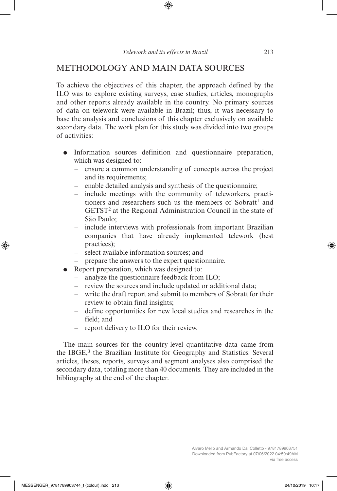# METHODOLOGY AND MAIN DATA SOURCES

To achieve the objectives of this chapter, the approach defined by the ILO was to explore existing surveys, case studies, articles, monographs and other reports already available in the country. No primary sources of data on telework were available in Brazil; thus, it was necessary to base the analysis and conclusions of this chapter exclusively on available secondary data. The work plan for this study was divided into two groups of activities:

- Information sources definition and questionnaire preparation, which was designed to:
	- ensure a common understanding of concepts across the project and its requirements;
	- enable detailed analysis and synthesis of the questionnaire;
	- include meetings with the community of teleworkers, practitioners and researchers such us the members of Sobratt<sup>1</sup> and GETST2 at the Regional Administration Council in the state of São Paulo;
	- include interviews with professionals from important Brazilian companies that have already implemented telework (best practices);
	- select available information sources; and
	- prepare the answers to the expert questionnaire.
- Report preparation, which was designed to:
	- analyze the questionnaire feedback from ILO;
	- review the sources and include updated or additional data;
	- write the draft report and submit to members of Sobratt for their review to obtain final insights;
	- define opportunities for new local studies and researches in the field; and
	- report delivery to ILO for their review.

The main sources for the country-level quantitative data came from the IBGE,<sup>3</sup> the Brazilian Institute for Geography and Statistics. Several articles, theses, reports, surveys and segment analyses also comprised the secondary data, totaling more than 40 documents. They are included in the bibliography at the end of the chapter.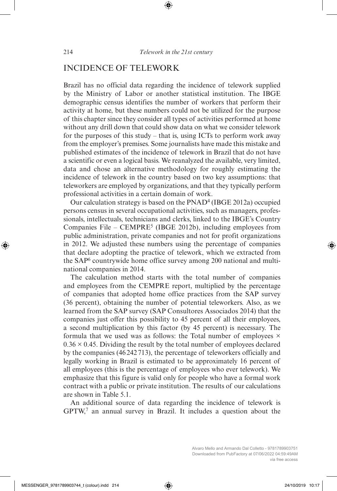# INCIDENCE OF TELEWORK

Brazil has no official data regarding the incidence of telework supplied by the Ministry of Labor or another statistical institution. The IBGE demographic census identifies the number of workers that perform their activity at home, but these numbers could not be utilized for the purpose of this chapter since they consider all types of activities performed at home without any drill down that could show data on what we consider telework for the purposes of this study – that is, using ICTs to perform work away from the employer's premises. Some journalists have made this mistake and published estimates of the incidence of telework in Brazil that do not have a scientific or even a logical basis. We reanalyzed the available, very limited, data and chose an alternative methodology for roughly estimating the incidence of telework in the country based on two key assumptions: that teleworkers are employed by organizations, and that they typically perform professional activities in a certain domain of work.

Our calculation strategy is based on the PNAD4 (IBGE 2012a) occupied persons census in several occupational activities, such as managers, professionals, intellectuals, technicians and clerks, linked to the IBGE's Country Companies File – CEMPRE<sup>5</sup> (IBGE 2012b), including employees from public administration, private companies and not for profit organizations in 2012. We adjusted these numbers using the percentage of companies that declare adopting the practice of telework, which we extracted from the SAP6 countrywide home office survey among 200 national and multinational companies in 2014.

The calculation method starts with the total number of companies and employees from the CEMPRE report, multiplied by the percentage of companies that adopted home office practices from the SAP survey (36 percent), obtaining the number of potential teleworkers. Also, as we learned from the SAP survey (SAP Consultores Associados 2014) that the companies just offer this possibility to 45 percent of all their employees, a second multiplication by this factor (by 45 percent) is necessary. The formula that we used was as follows: the Total number of employees  $\times$  $0.36 \times 0.45$ . Dividing the result by the total number of employees declared by the companies (46 242 713), the percentage of teleworkers officially and legally working in Brazil is estimated to be approximately 16 percent of all employees (this is the percentage of employees who ever telework). We emphasize that this figure is valid only for people who have a formal work contract with a public or private institution. The results of our calculations are shown in Table 5.1.

An additional source of data regarding the incidence of telework is GPTW,7 an annual survey in Brazil. It includes a question about the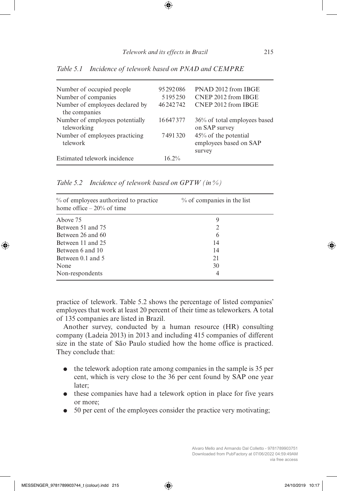| Number of occupied people       | 95292086 | PNAD 2012 from IBGE          |
|---------------------------------|----------|------------------------------|
| Number of companies             | 5195250  | CNEP 2012 from IBGE          |
| Number of employees declared by | 46242742 | CNEP 2012 from IBGE          |
| the companies                   |          |                              |
| Number of employees potentially | 16647377 | 36% of total employees based |
| teleworking                     |          | on SAP survey                |
| Number of employees practicing  | 7491320  | 45% of the potential         |
| telework                        |          | employees based on SAP       |
|                                 |          | survey                       |
| Estimated telework incidence    | $16.2\%$ |                              |

*Table 5.1 Incidence of telework based on PNAD and CEMPRE*

*Table 5.2 Incidence of telework based on GPTW (in %)*

| % of employees authorized to practice<br>home office $-20\%$ of time | $%$ of companies in the list |
|----------------------------------------------------------------------|------------------------------|
| Above 75                                                             | 9                            |
| Between 51 and 75                                                    | 2                            |
| Between 26 and 60                                                    | 6                            |
| Between 11 and 25                                                    | 14                           |
| Between 6 and 10                                                     | 14                           |
| Between 0.1 and 5                                                    | 21                           |
| None                                                                 | 30                           |
| Non-respondents                                                      | 4                            |

practice of telework. Table 5.2 shows the percentage of listed companies' employees that work at least 20 percent of their time as teleworkers. A total of 135 companies are listed in Brazil.

Another survey, conducted by a human resource (HR) consulting company (Ladeia 2013) in 2013 and including 415 companies of different size in the state of São Paulo studied how the home office is practiced. They conclude that:

- the telework adoption rate among companies in the sample is 35 per cent, which is very close to the 36 per cent found by SAP one year later;
- these companies have had a telework option in place for five years or more;
- 50 per cent of the employees consider the practice very motivating;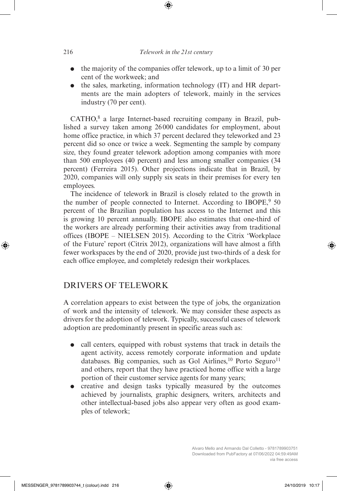- the majority of the companies offer telework, up to a limit of 30 per cent of the workweek; and
- the sales, marketing, information technology (IT) and HR departments are the main adopters of telework, mainly in the services industry (70 per cent).

CATHO,<sup>8</sup> a large Internet-based recruiting company in Brazil, published a survey taken among 26000 candidates for employment, about home office practice, in which 37 percent declared they teleworked and 23 percent did so once or twice a week. Segmenting the sample by company size, they found greater telework adoption among companies with more than 500 employees (40 percent) and less among smaller companies (34 percent) (Ferreira 2015). Other projections indicate that in Brazil, by 2020, companies will only supply six seats in their premises for every ten employees.

The incidence of telework in Brazil is closely related to the growth in the number of people connected to Internet. According to  $IBOPE<sup>9</sup>$ , 50 percent of the Brazilian population has access to the Internet and this is growing 10 percent annually. IBOPE also estimates that one-third of the workers are already performing their activities away from traditional offices (IBOPE – NIELSEN 2015). According to the Citrix 'Workplace of the Future' report (Citrix 2012), organizations will have almost a fifth fewer workspaces by the end of 2020, provide just two-thirds of a desk for each office employee, and completely redesign their workplaces.

# DRIVERS OF TELEWORK

A correlation appears to exist between the type of jobs, the organization of work and the intensity of telework. We may consider these aspects as drivers for the adoption of telework. Typically, successful cases of telework adoption are predominantly present in specific areas such as:

- call centers, equipped with robust systems that track in details the agent activity, access remotely corporate information and update databases. Big companies, such as Gol Airlines,<sup>10</sup> Porto Seguro<sup>11</sup> and others, report that they have practiced home office with a large portion of their customer service agents for many years;
- creative and design tasks typically measured by the outcomes achieved by journalists, graphic designers, writers, architects and other intellectual-based jobs also appear very often as good examples of telework;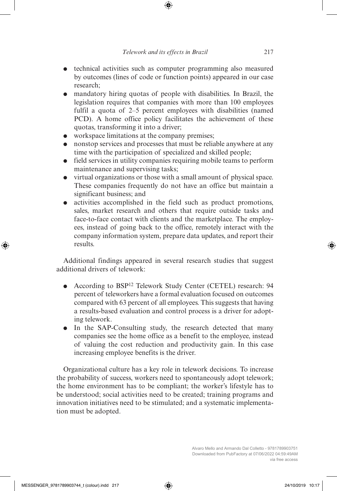- technical activities such as computer programming also measured by outcomes (lines of code or function points) appeared in our case research;
- mandatory hiring quotas of people with disabilities. In Brazil, the legislation requires that companies with more than 100 employees fulfil a quota of 2–5 percent employees with disabilities (named PCD). A home office policy facilitates the achievement of these quotas, transforming it into a driver;
- workspace limitations at the company premises;
- nonstop services and processes that must be reliable anywhere at any time with the participation of specialized and skilled people;
- field services in utility companies requiring mobile teams to perform maintenance and supervising tasks;
- virtual organizations or those with a small amount of physical space. These companies frequently do not have an office but maintain a significant business; and
- activities accomplished in the field such as product promotions, sales, market research and others that require outside tasks and face-to-face contact with clients and the marketplace. The employees, instead of going back to the office, remotely interact with the company information system, prepare data updates, and report their results.

Additional findings appeared in several research studies that suggest additional drivers of telework:

- According to BSP12 Telework Study Center (CETEL) research: 94 percent of teleworkers have a formal evaluation focused on outcomes compared with 63 percent of all employees. This suggests that having a results-based evaluation and control process is a driver for adopting telework.
- In the SAP-Consulting study, the research detected that many companies see the home office as a benefit to the employee, instead of valuing the cost reduction and productivity gain. In this case increasing employee benefits is the driver.

Organizational culture has a key role in telework decisions. To increase the probability of success, workers need to spontaneously adopt telework; the home environment has to be compliant; the worker's lifestyle has to be understood; social activities need to be created; training programs and innovation initiatives need to be stimulated; and a systematic implementation must be adopted.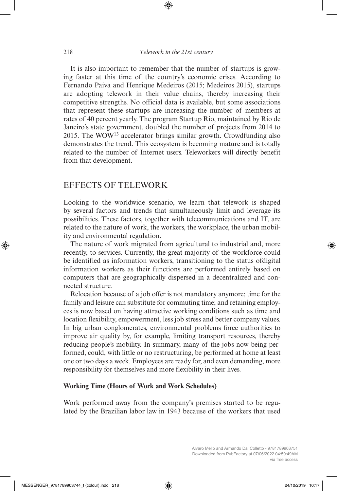It is also important to remember that the number of startups is growing faster at this time of the country's economic crises. According to Fernando Paiva and Henrique Medeiros (2015; Medeiros 2015), startups are adopting telework in their value chains, thereby increasing their competitive strengths. No official data is available, but some associations that represent these startups are increasing the number of members at rates of 40 percent yearly. The program Startup Rio, maintained by Rio de Janeiro's state government, doubled the number of projects from 2014 to 2015. The WOW13 accelerator brings similar growth. Crowdfunding also demonstrates the trend. This ecosystem is becoming mature and is totally related to the number of Internet users. Teleworkers will directly benefit from that development.

# EFFECTS OF TELEWORK

Looking to the worldwide scenario, we learn that telework is shaped by several factors and trends that simultaneously limit and leverage its possibilities. These factors, together with telecommunications and IT, are related to the nature of work, the workers, the workplace, the urban mobility and environmental regulation.

The nature of work migrated from agricultural to industrial and, more recently, to services. Currently, the great majority of the workforce could be identified as information workers, transitioning to the status ofdigital information workers as their functions are performed entirely based on computers that are geographically dispersed in a decentralized and connected structure.

Relocation because of a job offer is not mandatory anymore; time for the family and leisure can substitute for commuting time; and retaining employees is now based on having attractive working conditions such as time and location flexibility, empowerment, less job stress and better company values. In big urban conglomerates, environmental problems force authorities to improve air quality by, for example, limiting transport resources, thereby reducing people's mobility. In summary, many of the jobs now being performed, could, with little or no restructuring, be performed at home at least one or two days a week. Employees are ready for, and even demanding, more responsibility for themselves and more flexibility in their lives.

#### **Working Time (Hours of Work and Work Schedules)**

Work performed away from the company's premises started to be regulated by the Brazilian labor law in 1943 because of the workers that used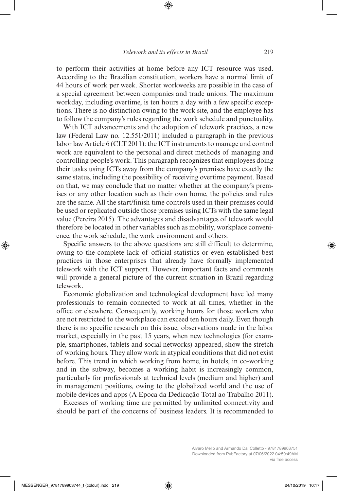to perform their activities at home before any ICT resource was used. According to the Brazilian constitution, workers have a normal limit of 44 hours of work per week. Shorter workweeks are possible in the case of a special agreement between companies and trade unions. The maximum workday, including overtime, is ten hours a day with a few specific exceptions. There is no distinction owing to the work site, and the employee has to follow the company's rules regarding the work schedule and punctuality.

With ICT advancements and the adoption of telework practices, a new law (Federal Law no. 12.551/2011) included a paragraph in the previous labor law Article 6 (CLT 2011): the ICT instruments to manage and control work are equivalent to the personal and direct methods of managing and controlling people's work. This paragraph recognizes that employees doing their tasks using ICTs away from the company's premises have exactly the same status, including the possibility of receiving overtime payment. Based on that, we may conclude that no matter whether at the company's premises or any other location such as their own home, the policies and rules are the same. All the start/finish time controls used in their premises could be used or replicated outside those premises using ICTs with the same legal value (Pereira 2015). The advantages and disadvantages of telework would therefore be located in other variables such as mobility, workplace convenience, the work schedule, the work environment and others.

Specific answers to the above questions are still difficult to determine, owing to the complete lack of official statistics or even established best practices in those enterprises that already have formally implemented telework with the ICT support. However, important facts and comments will provide a general picture of the current situation in Brazil regarding telework.

Economic globalization and technological development have led many professionals to remain connected to work at all times, whether in the office or elsewhere. Consequently, working hours for those workers who are not restricted to the workplace can exceed ten hours daily. Even though there is no specific research on this issue, observations made in the labor market, especially in the past 15 years, when new technologies (for example, smartphones, tablets and social networks) appeared, show the stretch of working hours. They allow work in atypical conditions that did not exist before. This trend in which working from home, in hotels, in co-working and in the subway, becomes a working habit is increasingly common, particularly for professionals at technical levels (medium and higher) and in management positions, owing to the globalized world and the use of mobile devices and apps (A Epoca da Dedicação Total ao Trabalho 2011).

Excesses of working time are permitted by unlimited connectivity and should be part of the concerns of business leaders. It is recommended to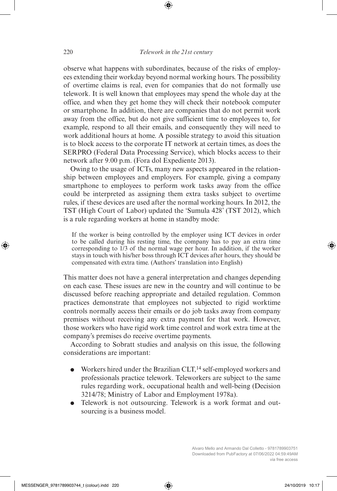observe what happens with subordinates, because of the risks of employees extending their workday beyond normal working hours. The possibility of overtime claims is real, even for companies that do not formally use telework. It is well known that employees may spend the whole day at the office, and when they get home they will check their notebook computer or smartphone. In addition, there are companies that do not permit work away from the office, but do not give sufficient time to employees to, for example, respond to all their emails, and consequently they will need to work additional hours at home. A possible strategy to avoid this situation is to block access to the corporate IT network at certain times, as does the SERPRO (Federal Data Processing Service), which blocks access to their network after 9.00 p.m. (Fora dol Expediente 2013).

Owing to the usage of ICTs, many new aspects appeared in the relationship between employees and employers. For example, giving a company smartphone to employees to perform work tasks away from the office could be interpreted as assigning them extra tasks subject to overtime rules, if these devices are used after the normal working hours. In 2012, the TST (High Court of Labor) updated the 'Sumula 428' (TST 2012), which is a rule regarding workers at home in standby mode:

If the worker is being controlled by the employer using ICT devices in order to be called during his resting time, the company has to pay an extra time corresponding to 1/3 of the normal wage per hour. In addition, if the worker stays in touch with his/her boss through ICT devices after hours, they should be compensated with extra time. (Authors' translation into English)

This matter does not have a general interpretation and changes depending on each case. These issues are new in the country and will continue to be discussed before reaching appropriate and detailed regulation. Common practices demonstrate that employees not subjected to rigid worktime controls normally access their emails or do job tasks away from company premises without receiving any extra payment for that work. However, those workers who have rigid work time control and work extra time at the company's premises do receive overtime payments.

According to Sobratt studies and analysis on this issue, the following considerations are important:

- $\bullet$  Workers hired under the Brazilian CLT,<sup>14</sup> self-employed workers and professionals practice telework. Teleworkers are subject to the same rules regarding work, occupational health and well-being (Decision 3214/78; Ministry of Labor and Employment 1978a).
- Telework is not outsourcing. Telework is a work format and outsourcing is a business model.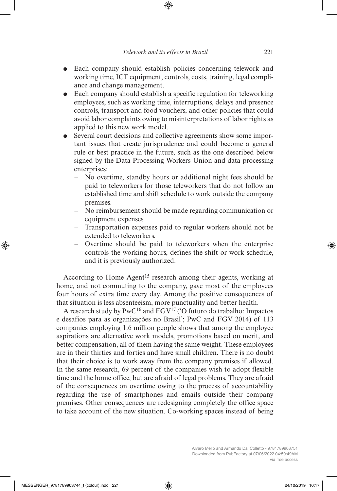- Each company should establish policies concerning telework and working time, ICT equipment, controls, costs, training, legal compliance and change management.
- Each company should establish a specific regulation for teleworking employees, such as working time, interruptions, delays and presence controls, transport and food vouchers, and other policies that could avoid labor complaints owing to misinterpretations of labor rights as applied to this new work model.
- Several court decisions and collective agreements show some important issues that create jurisprudence and could become a general rule or best practice in the future, such as the one described below signed by the Data Processing Workers Union and data processing enterprises:
	- No overtime, standby hours or additional night fees should be paid to teleworkers for those teleworkers that do not follow an established time and shift schedule to work outside the company premises.
	- No reimbursement should be made regarding communication or equipment expenses.
	- Transportation expenses paid to regular workers should not be extended to teleworkers.
	- Overtime should be paid to teleworkers when the enterprise controls the working hours, defines the shift or work schedule, and it is previously authorized.

According to Home Agent<sup>15</sup> research among their agents, working at home, and not commuting to the company, gave most of the employees four hours of extra time every day. Among the positive consequences of that situation is less absenteeism, more punctuality and better health.

A research study by  $PwC^{16}$  and  $FGV^{17}$  ('O futuro do trabalho: Impactos e desafios para as organizações no Brasil'; PwC and FGV 2014) of 113 companies employing 1.6 million people shows that among the employee aspirations are alternative work models, promotions based on merit, and better compensation, all of them having the same weight. These employees are in their thirties and forties and have small children. There is no doubt that their choice is to work away from the company premises if allowed. In the same research, 69 percent of the companies wish to adopt flexible time and the home office, but are afraid of legal problems. They are afraid of the consequences on overtime owing to the process of accountability regarding the use of smartphones and emails outside their company premises. Other consequences are redesigning completely the office space to take account of the new situation. Co-working spaces instead of being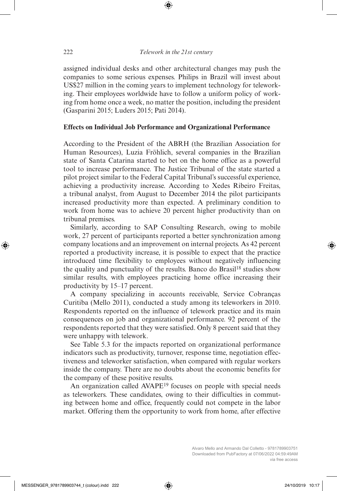assigned individual desks and other architectural changes may push the companies to some serious expenses. Philips in Brazil will invest about US\$27 million in the coming years to implement technology for teleworking. Their employees worldwide have to follow a uniform policy of working from home once a week, no matter the position, including the president (Gasparini 2015; Luders 2015; Pati 2014).

#### **Effects on Individual Job Performance and Organizational Performance**

According to the President of the ABRH (the Brazilian Association for Human Resources), Luzia Fröhlich, several companies in the Brazilian state of Santa Catarina started to bet on the home office as a powerful tool to increase performance. The Justice Tribunal of the state started a pilot project similar to the Federal Capital Tribunal's successful experience, achieving a productivity increase. According to Xedes Ribeiro Freitas, a tribunal analyst, from August to December 2014 the pilot participants increased productivity more than expected. A preliminary condition to work from home was to achieve 20 percent higher productivity than on tribunal premises.

Similarly, according to SAP Consulting Research, owing to mobile work, 27 percent of participants reported a better synchronization among company locations and an improvement on internal projects. As 42 percent reported a productivity increase, it is possible to expect that the practice introduced time flexibility to employees without negatively influencing the quality and punctuality of the results. Banco do Brasil<sup>18</sup> studies show similar results, with employees practicing home office increasing their productivity by 15–17 percent.

A company specializing in accounts receivable, Service Cobranças Curitiba (Mello 2011), conducted a study among its teleworkers in 2010. Respondents reported on the influence of telework practice and its main consequences on job and organizational performance. 92 percent of the respondents reported that they were satisfied. Only 8 percent said that they were unhappy with telework.

See Table 5.3 for the impacts reported on organizational performance indicators such as productivity, turnover, response time, negotiation effectiveness and teleworker satisfaction, when compared with regular workers inside the company. There are no doubts about the economic benefits for the company of these positive results.

An organization called AVAPE<sup>19</sup> focuses on people with special needs as teleworkers. These candidates, owing to their difficulties in commuting between home and office, frequently could not compete in the labor market. Offering them the opportunity to work from home, after effective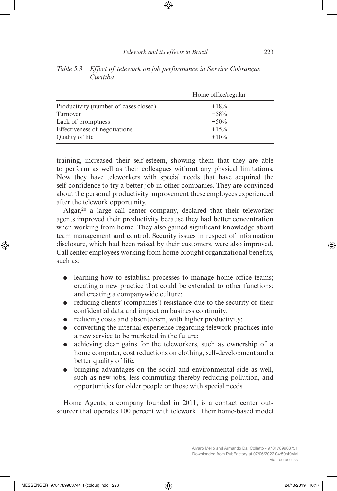|                                       | Home office/regular |
|---------------------------------------|---------------------|
| Productivity (number of cases closed) | $+18%$              |
| Turnover                              | $-58%$              |
| Lack of promptness                    | $-50\%$             |
| Effectiveness of negotiations         | $+15%$              |
| Quality of life                       | $+10\%$             |

*Table 5.3 Effect of telework on job performance in Service Cobranças Curitiba*

training, increased their self-esteem, showing them that they are able to perform as well as their colleagues without any physical limitations. Now they have teleworkers with special needs that have acquired the self-confidence to try a better job in other companies. They are convinced about the personal productivity improvement these employees experienced after the telework opportunity.

Algar,<sup>20</sup> a large call center company, declared that their teleworker agents improved their productivity because they had better concentration when working from home. They also gained significant knowledge about team management and control. Security issues in respect of information disclosure, which had been raised by their customers, were also improved. Call center employees working from home brought organizational benefits, such as:

- learning how to establish processes to manage home-office teams; creating a new practice that could be extended to other functions; and creating a companywide culture;
- reducing clients' (companies') resistance due to the security of their confidential data and impact on business continuity;
- reducing costs and absenteeism, with higher productivity;
- converting the internal experience regarding telework practices into a new service to be marketed in the future;
- achieving clear gains for the teleworkers, such as ownership of a home computer, cost reductions on clothing, self-development and a better quality of life;
- bringing advantages on the social and environmental side as well, such as new jobs, less commuting thereby reducing pollution, and opportunities for older people or those with special needs.

Home Agents, a company founded in 2011, is a contact center outsourcer that operates 100 percent with telework. Their home-based model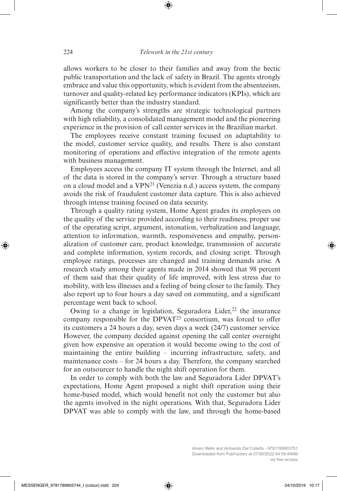allows workers to be closer to their families and away from the hectic public transportation and the lack of safety in Brazil. The agents strongly embrace and value this opportunity, which is evident from the absenteeism, turnover and quality-related key performance indicators (KPIs), which are significantly better than the industry standard.

Among the company's strengths are strategic technological partners with high reliability, a consolidated management model and the pioneering experience in the provision of call center services in the Brazilian market.

The employees receive constant training focused on adaptability to the model, customer service quality, and results. There is also constant monitoring of operations and effective integration of the remote agents with business management.

Employees access the company IT system through the Internet, and all of the data is stored in the company's server. Through a structure based on a cloud model and a  $VPN^{21}$  (Venezia n.d.) access system, the company avoids the risk of fraudulent customer data capture. This is also achieved through intense training focused on data security.

Through a quality rating system, Home Agent grades its employees on the quality of the service provided according to their readiness, proper use of the operating script, argument, intonation, verbalization and language, attention to information, warmth, responsiveness and empathy, personalization of customer care, product knowledge, transmission of accurate and complete information, system records, and closing script. Through employee ratings, processes are changed and training demands arise. A research study among their agents made in 2014 showed that 98 percent of them said that their quality of life improved, with less stress due to mobility, with less illnesses and a feeling of being closer to the family. They also report up to four hours a day saved on commuting, and a significant percentage went back to school.

Owing to a change in legislation, Seguradora Lider, $22$  the insurance company responsible for the DPVAT23 consortium, was forced to offer its customers a 24 hours a day, seven days a week (24/7) customer service. However, the company decided against opening the call center overnight given how expensive an operation it would become owing to the cost of maintaining the entire building – incurring infrastructure, safety, and maintenance costs – for 24 hours a day. Therefore, the company searched for an outsourcer to handle the night shift operation for them.

In order to comply with both the law and Seguradora Lider DPVAT's expectations, Home Agent proposed a night shift operation using their home-based model, which would benefit not only the customer but also the agents involved in the night operations. With that, Seguradora Lider DPVAT was able to comply with the law, and through the home-based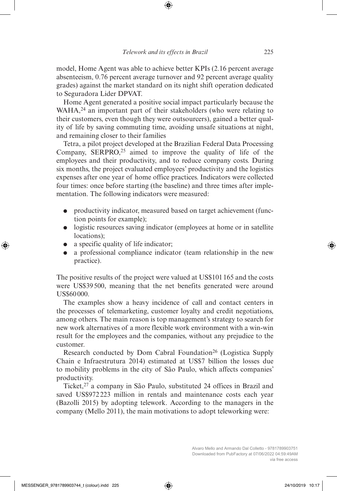model, Home Agent was able to achieve better KPIs (2.16 percent average absenteeism, 0.76 percent average turnover and 92 percent average quality grades) against the market standard on its night shift operation dedicated to Seguradora Lider DPVAT.

Home Agent generated a positive social impact particularly because the WAHA,<sup>24</sup> an important part of their stakeholders (who were relating to their customers, even though they were outsourcers), gained a better quality of life by saving commuting time, avoiding unsafe situations at night, and remaining closer to their families

Tetra, a pilot project developed at the Brazilian Federal Data Processing Company,  $SERPRO<sub>1</sub><sup>25</sup>$  aimed to improve the quality of life of the employees and their productivity, and to reduce company costs. During six months, the project evaluated employees' productivity and the logistics expenses after one year of home office practices. Indicators were collected four times: once before starting (the baseline) and three times after implementation. The following indicators were measured:

- productivity indicator, measured based on target achievement (function points for example);
- logistic resources saving indicator (employees at home or in satellite locations);
- a specific quality of life indicator;
- a professional compliance indicator (team relationship in the new practice).

The positive results of the project were valued at US\$101165 and the costs were US\$39500, meaning that the net benefits generated were around US\$60000.

The examples show a heavy incidence of call and contact centers in the processes of telemarketing, customer loyalty and credit negotiations, among others. The main reason is top management's strategy to search for new work alternatives of a more flexible work environment with a win-win result for the employees and the companies, without any prejudice to the customer.

Research conducted by Dom Cabral Foundation<sup>26</sup> (Logistica Supply Chain e Infraestrutura 2014) estimated at US\$7 billion the losses due to mobility problems in the city of São Paulo, which affects companies' productivity.

Ticket,27 a company in São Paulo, substituted 24 offices in Brazil and saved US\$972 223 million in rentals and maintenance costs each year (Bazolli 2015) by adopting telework. According to the managers in the company (Mello 2011), the main motivations to adopt teleworking were: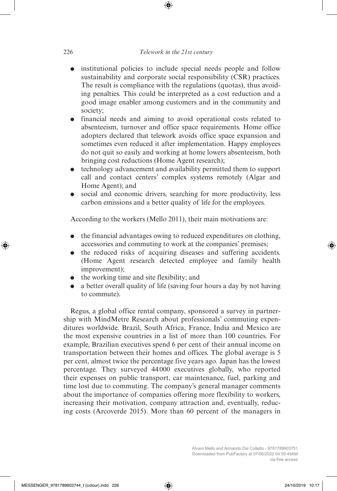- institutional policies to include special needs people and follow sustainability and corporate social responsibility (CSR) practices. The result is compliance with the regulations (quotas), thus avoiding penalties. This could be interpreted as a cost reduction and a good image enabler among customers and in the community and society;
- financial needs and aiming to avoid operational costs related to absenteeism, turnover and office space requirements. Home office adopters declared that telework avoids office space expansion and sometimes even reduced it after implementation. Happy employees do not quit so easily and working at home lowers absenteeism, both bringing cost reductions (Home Agent research);
- technology advancement and availability permitted them to support call and contact centers' complex systems remotely (Algar and Home Agent); and
- social and economic drivers, searching for more productivity, less carbon emissions and a better quality of life for the employees.

According to the workers (Mello 2011), their main motivations are:

- the financial advantages owing to reduced expenditures on clothing, accessories and commuting to work at the companies' premises;
- the reduced risks of acquiring diseases and suffering accidents. (Home Agent research detected employee and family health improvement);
- the working time and site flexibility; and
- a better overall quality of life (saving four hours a day by not having to commute).

Regus, a global office rental company, sponsored a survey in partnership with MindMetre Research about professionals' commuting expenditures worldwide. Brazil, South Africa, France, India and Mexico are the most expensive countries in a list of more than 100 countries. For example, Brazilian executives spend 6 per cent of their annual income on transportation between their homes and offices. The global average is 5 per cent, almost twice the percentage five years ago. Japan has the lowest percentage. They surveyed 44 000 executives globally, who reported their expenses on public transport, car maintenance, fuel, parking and time lost due to commuting. The company's general manager comments about the importance of companies offering more flexibility to workers, increasing their motivation, company attraction and, eventually, reducing costs (Arcoverde 2015). More than 60 percent of the managers in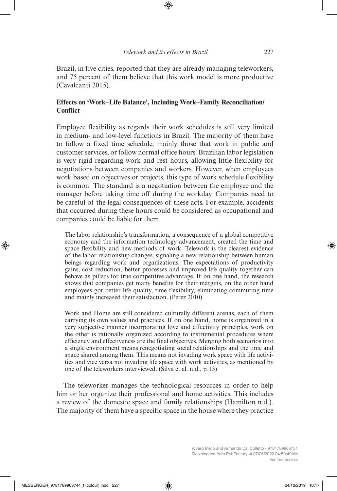Brazil, in five cities, reported that they are already managing teleworkers, and 75 percent of them believe that this work model is more productive (Cavalcanti 2015).

## **Effects on 'Work–Life Balance', Including Work–Family Reconciliation/ Conflict**

Employee flexibility as regards their work schedules is still very limited in medium- and low-level functions in Brazil. The majority of them have to follow a fixed time schedule, mainly those that work in public and customer services, or follow normal office hours. Brazilian labor legislation is very rigid regarding work and rest hours, allowing little flexibility for negotiations between companies and workers. However, when employees work based on objectives or projects, this type of work schedule flexibility is common. The standard is a negotiation between the employee and the manager before taking time off during the workday. Companies need to be careful of the legal consequences of these acts. For example, accidents that occurred during these hours could be considered as occupational and companies could be liable for them.

The labor relationship's transformation, a consequence of a global competitive economy and the information technology advancement, created the time and space flexibility and new methods of work. Telework is the clearest evidence of the labor relationship changes, signaling a new relationship between human beings regarding work and organizations. The expectations of productivity gains, cost reduction, better processes and improved life quality together can behave as pillars for true competitive advantage. If on one hand, the research shows that companies get many benefits for their margins, on the other hand employees got better life quality, time flexibility, eliminating commuting time and mainly increased their satisfaction. (Perez 2010)

Work and Home are still considered culturally different arenas, each of them carrying its own values and practices. If on one hand, home is organized in a very subjective manner incorporating love and affectivity principles, work on the other is rationally organized according to instrumental procedures where efficiency and effectiveness are the final objectives. Merging both scenarios into a single environment means renegotiating social relationships and the time and space shared among them. This means not invading work space with life activities and vice versa not invading life space with work activities, as mentioned by one of the teleworkers interviewed. (Silva et al. n.d., p. 13)

The teleworker manages the technological resources in order to help him or her organize their professional and home activities. This includes a review of the domestic space and family relationships (Hamilton n.d.). The majority of them have a specific space in the house where they practice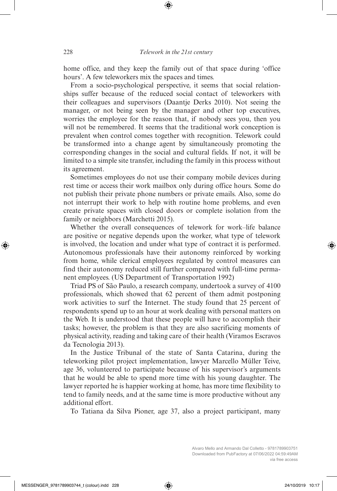home office, and they keep the family out of that space during 'office hours'. A few teleworkers mix the spaces and times.

From a socio-psychological perspective, it seems that social relationships suffer because of the reduced social contact of teleworkers with their colleagues and supervisors (Daantje Derks 2010). Not seeing the manager, or not being seen by the manager and other top executives, worries the employee for the reason that, if nobody sees you, then you will not be remembered. It seems that the traditional work conception is prevalent when control comes together with recognition. Telework could be transformed into a change agent by simultaneously promoting the corresponding changes in the social and cultural fields. If not, it will be limited to a simple site transfer, including the family in this process without its agreement.

Sometimes employees do not use their company mobile devices during rest time or access their work mailbox only during office hours. Some do not publish their private phone numbers or private emails. Also, some do not interrupt their work to help with routine home problems, and even create private spaces with closed doors or complete isolation from the family or neighbors (Marchetti 2015).

Whether the overall consequences of telework for work–life balance are positive or negative depends upon the worker, what type of telework is involved, the location and under what type of contract it is performed. Autonomous professionals have their autonomy reinforced by working from home, while clerical employees regulated by control measures can find their autonomy reduced still further compared with full-time permanent employees. (US Department of Transportation 1992)

Triad PS of São Paulo, a research company, undertook a survey of 4100 professionals, which showed that 62 percent of them admit postponing work activities to surf the Internet. The study found that 25 percent of respondents spend up to an hour at work dealing with personal matters on the Web. It is understood that these people will have to accomplish their tasks; however, the problem is that they are also sacrificing moments of physical activity, reading and taking care of their health (Viramos Escravos da Tecnologia 2013).

In the Justice Tribunal of the state of Santa Catarina, during the teleworking pilot project implementation, lawyer Marcello Müller Teive, age 36, volunteered to participate because of his supervisor's arguments that he would be able to spend more time with his young daughter. The lawyer reported he is happier working at home, has more time flexibility to tend to family needs, and at the same time is more productive without any additional effort.

To Tatiana da Silva Pioner, age 37, also a project participant, many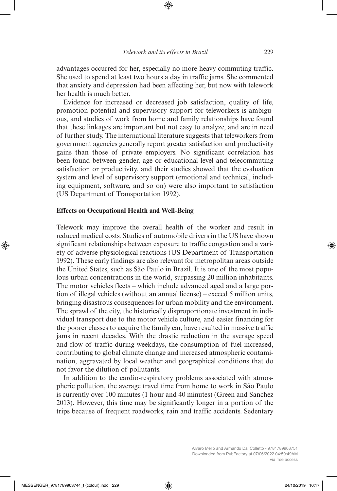advantages occurred for her, especially no more heavy commuting traffic. She used to spend at least two hours a day in traffic jams. She commented that anxiety and depression had been affecting her, but now with telework her health is much better.

Evidence for increased or decreased job satisfaction, quality of life, promotion potential and supervisory support for teleworkers is ambiguous, and studies of work from home and family relationships have found that these linkages are important but not easy to analyze, and are in need of further study. The international literature suggests that teleworkers from government agencies generally report greater satisfaction and productivity gains than those of private employers. No significant correlation has been found between gender, age or educational level and telecommuting satisfaction or productivity, and their studies showed that the evaluation system and level of supervisory support (emotional and technical, including equipment, software, and so on) were also important to satisfaction (US Department of Transportation 1992).

#### **Effects on Occupational Health and Well-Being**

Telework may improve the overall health of the worker and result in reduced medical costs. Studies of automobile drivers in the US have shown significant relationships between exposure to traffic congestion and a variety of adverse physiological reactions (US Department of Transportation 1992). These early findings are also relevant for metropolitan areas outside the United States, such as São Paulo in Brazil. It is one of the most populous urban concentrations in the world, surpassing 20 million inhabitants. The motor vehicles fleets – which include advanced aged and a large portion of illegal vehicles (without an annual license) – exceed 5 million units, bringing disastrous consequences for urban mobility and the environment. The sprawl of the city, the historically disproportionate investment in individual transport due to the motor vehicle culture, and easier financing for the poorer classes to acquire the family car, have resulted in massive traffic jams in recent decades. With the drastic reduction in the average speed and flow of traffic during weekdays, the consumption of fuel increased, contributing to global climate change and increased atmospheric contamination, aggravated by local weather and geographical conditions that do not favor the dilution of pollutants.

In addition to the cardio-respiratory problems associated with atmospheric pollution, the average travel time from home to work in São Paulo is currently over 100 minutes (1 hour and 40 minutes) (Green and Sanchez 2013). However, this time may be significantly longer in a portion of the trips because of frequent roadworks, rain and traffic accidents. Sedentary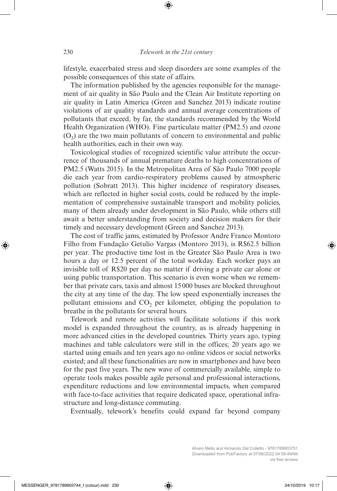lifestyle, exacerbated stress and sleep disorders are some examples of the possible consequences of this state of affairs.

The information published by the agencies responsible for the management of air quality in São Paulo and the Clean Air Institute reporting on air quality in Latin America (Green and Sanchez 2013) indicate routine violations of air quality standards and annual average concentrations of pollutants that exceed, by far, the standards recommended by the World Health Organization (WHO). Fine particulate matter (PM2.5) and ozone  $(O<sub>2</sub>)$  are the two main pollutants of concern to environmental and public health authorities, each in their own way.

Toxicological studies of recognized scientific value attribute the occurrence of thousands of annual premature deaths to high concentrations of PM2.5 (Watts 2015). In the Metropolitan Area of São Paulo 7000 people die each year from cardio-respiratory problems caused by atmospheric pollution (Sobratt 2013). This higher incidence of respiratory diseases, which are reflected in higher social costs, could be reduced by the implementation of comprehensive sustainable transport and mobility policies, many of them already under development in São Paulo, while others still await a better understanding from society and decision makers for their timely and necessary development (Green and Sanchez 2013).

The cost of traffic jams, estimated by Professor Andre Franco Montoro Filho from Fundação Getulio Vargas (Montoro 2013), is R\$62.5 billion per year. The productive time lost in the Greater São Paulo Area is two hours a day or 12.5 percent of the total workday. Each worker pays an invisible toll of R\$20 per day no matter if driving a private car alone or using public transportation. This scenario is even worse when we remember that private cars, taxis and almost 15000 buses are blocked throughout the city at any time of the day. The low speed exponentially increases the pollutant emissions and CO<sub>2</sub> per kilometer, obliging the population to breathe in the pollutants for several hours.

Telework and remote activities will facilitate solutions if this work model is expanded throughout the country, as is already happening in more advanced cities in the developed countries. Thirty years ago, typing machines and table calculators were still in the offices; 20 years ago we started using emails and ten years ago no online videos or social networks existed; and all these functionalities are now in smartphones and have been for the past five years. The new wave of commercially available, simple to operate tools makes possible agile personal and professional interactions, expenditure reductions and low environmental impacts, when compared with face-to-face activities that require dedicated space, operational infrastructure and long-distance commuting.

Eventually, telework's benefits could expand far beyond company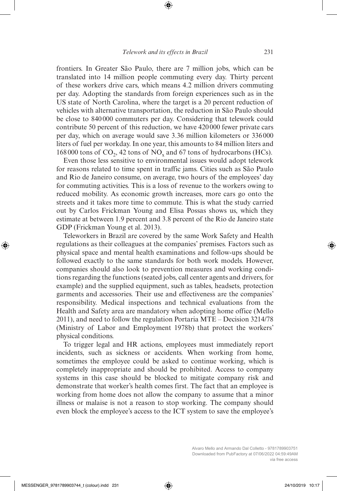frontiers. In Greater São Paulo, there are 7 million jobs, which can be translated into 14 million people commuting every day. Thirty percent of these workers drive cars, which means 4.2 million drivers commuting per day. Adopting the standards from foreign experiences such as in the US state of North Carolina, where the target is a 20 percent reduction of vehicles with alternative transportation, the reduction in São Paulo should be close to 840 000 commuters per day. Considering that telework could contribute 50 percent of this reduction, we have 420000 fewer private cars per day, which on average would save 3.36 million kilometers or 336 000 liters of fuel per workday. In one year, this amounts to 84 million liters and 168000 tons of  $CO<sub>2</sub>$ , 42 tons of NO<sub>x</sub> and 67 tons of hydrocarbons (HCs).

Even those less sensitive to environmental issues would adopt telework for reasons related to time spent in traffic jams. Cities such as São Paulo and Rio de Janeiro consume, on average, two hours of the employees' day for commuting activities. This is a loss of revenue to the workers owing to reduced mobility. As economic growth increases, more cars go onto the streets and it takes more time to commute. This is what the study carried out by Carlos Frickman Young and Elisa Possas shows us, which they estimate at between 1.9 percent and 3.8 percent of the Rio de Janeiro state GDP (Frickman Young et al. 2013).

Teleworkers in Brazil are covered by the same Work Safety and Health regulations as their colleagues at the companies' premises. Factors such as physical space and mental health examinations and follow-ups should be followed exactly to the same standards for both work models. However, companies should also look to prevention measures and working conditions regarding the functions (seated jobs, call center agents and drivers, for example) and the supplied equipment, such as tables, headsets, protection garments and accessories. Their use and effectiveness are the companies' responsibility. Medical inspections and technical evaluations from the Health and Safety area are mandatory when adopting home office (Mello 2011), and need to follow the regulation Portaria MTE – Decision 3214/78 (Ministry of Labor and Employment 1978b) that protect the workers' physical conditions.

To trigger legal and HR actions, employees must immediately report incidents, such as sickness or accidents. When working from home, sometimes the employee could be asked to continue working, which is completely inappropriate and should be prohibited. Access to company systems in this case should be blocked to mitigate company risk and demonstrate that worker's health comes first. The fact that an employee is working from home does not allow the company to assume that a minor illness or malaise is not a reason to stop working. The company should even block the employee's access to the ICT system to save the employee's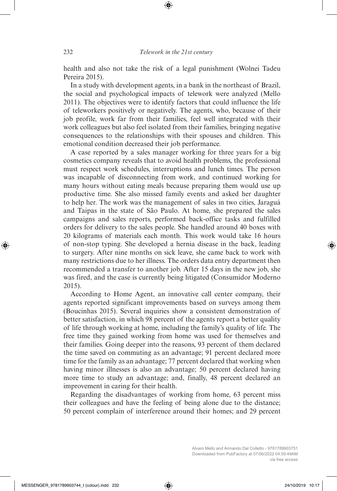health and also not take the risk of a legal punishment (Wolnei Tadeu Pereira 2015).

In a study with development agents, in a bank in the northeast of Brazil, the social and psychological impacts of telework were analyzed (Mello 2011). The objectives were to identify factors that could influence the life of teleworkers positively or negatively. The agents, who, because of their job profile, work far from their families, feel well integrated with their work colleagues but also feel isolated from their families, bringing negative consequences to the relationships with their spouses and children. This emotional condition decreased their job performance.

A case reported by a sales manager working for three years for a big cosmetics company reveals that to avoid health problems, the professional must respect work schedules, interruptions and lunch times. The person was incapable of disconnecting from work, and continued working for many hours without eating meals because preparing them would use up productive time. She also missed family events and asked her daughter to help her. The work was the management of sales in two cities, Jaraguá and Taipas in the state of São Paulo. At home, she prepared the sales campaigns and sales reports, performed back-office tasks and fulfilled orders for delivery to the sales people. She handled around 40 boxes with 20 kilograms of materials each month. This work would take 16 hours of non-stop typing. She developed a hernia disease in the back, leading to surgery. After nine months on sick leave, she came back to work with many restrictions due to her illness. The orders data entry department then recommended a transfer to another job. After 15 days in the new job, she was fired, and the case is currently being litigated (Consumidor Moderno 2015).

According to Home Agent, an innovative call center company, their agents reported significant improvements based on surveys among them (Boucinhas 2015). Several inquiries show a consistent demonstration of better satisfaction, in which 98 percent of the agents report a better quality of life through working at home, including the family's quality of life. The free time they gained working from home was used for themselves and their families. Going deeper into the reasons, 93 percent of them declared the time saved on commuting as an advantage; 91 percent declared more time for the family as an advantage; 77 percent declared that working when having minor illnesses is also an advantage; 50 percent declared having more time to study an advantage; and, finally, 48 percent declared an improvement in caring for their health.

Regarding the disadvantages of working from home, 63 percent miss their colleagues and have the feeling of being alone due to the distance; 50 percent complain of interference around their homes; and 29 percent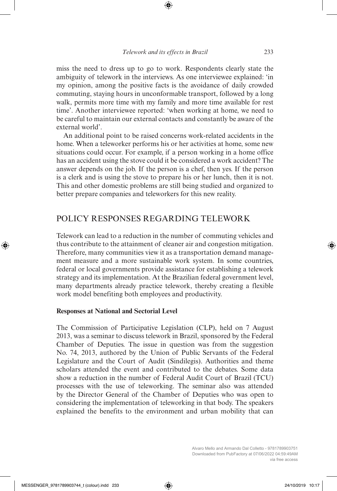miss the need to dress up to go to work. Respondents clearly state the ambiguity of telework in the interviews. As one interviewee explained: 'in my opinion, among the positive facts is the avoidance of daily crowded commuting, staying hours in unconformable transport, followed by a long walk, permits more time with my family and more time available for rest time'. Another interviewee reported: 'when working at home, we need to be careful to maintain our external contacts and constantly be aware of the external world'.

An additional point to be raised concerns work-related accidents in the home. When a teleworker performs his or her activities at home, some new situations could occur. For example, if a person working in a home office has an accident using the stove could it be considered a work accident? The answer depends on the job. If the person is a chef, then yes. If the person is a clerk and is using the stove to prepare his or her lunch, then it is not. This and other domestic problems are still being studied and organized to better prepare companies and teleworkers for this new reality.

# POLICY RESPONSES REGARDING TELEWORK

Telework can lead to a reduction in the number of commuting vehicles and thus contribute to the attainment of cleaner air and congestion mitigation. Therefore, many communities view it as a transportation demand management measure and a more sustainable work system. In some countries, federal or local governments provide assistance for establishing a telework strategy and its implementation. At the Brazilian federal government level, many departments already practice telework, thereby creating a flexible work model benefiting both employees and productivity.

#### **Responses at National and Sectorial Level**

The Commission of Participative Legislation (CLP), held on 7 August 2013, was a seminar to discuss telework in Brazil, sponsored by the Federal Chamber of Deputies. The issue in question was from the suggestion No. 74, 2013, authored by the Union of Public Servants of the Federal Legislature and the Court of Audit (Sindilegis). Authorities and theme scholars attended the event and contributed to the debates. Some data show a reduction in the number of Federal Audit Court of Brazil (TCU) processes with the use of teleworking. The seminar also was attended by the Director General of the Chamber of Deputies who was open to considering the implementation of teleworking in that body. The speakers explained the benefits to the environment and urban mobility that can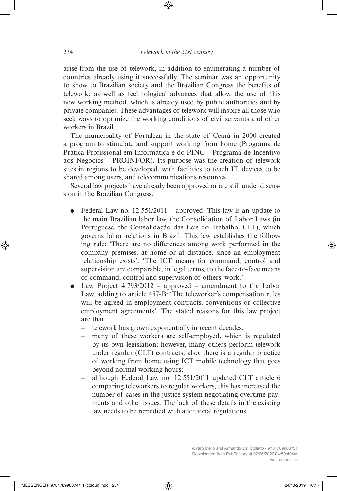arise from the use of telework, in addition to enumerating a number of countries already using it successfully. The seminar was an opportunity to show to Brazilian society and the Brazilian Congress the benefits of telework, as well as technological advances that allow the use of this new working method, which is already used by public authorities and by private companies. These advantages of telework will inspire all those who seek ways to optimize the working conditions of civil servants and other workers in Brazil.

The municipality of Fortaleza in the state of Ceará in 2000 created a program to stimulate and support working from home (Programa de Prática Profissional em Informática e do PINC – Programa de Incentivo aos Negócios – PROINFOR). Its purpose was the creation of telework sites in regions to be developed, with facilities to teach IT, devices to be shared among users, and telecommunications resources.

Several law projects have already been approved or are still under discussion in the Brazilian Congress:

- Federal Law no.  $12.551/2011$  approved. This law is an update to the main Brazilian labor law, the Consolidation of Labor Laws (in Portuguese, the Consolidação das Leis do Trabalho, CLT), which governs labor relations in Brazil. This law establishes the following rule: 'There are no differences among work performed in the company premises, at home or at distance, since an employment relationship exists'. 'The ICT means for command, control and supervision are comparable, in legal terms, to the face-to-face means of command, control and supervision of others' work.'
- Law Project 4.793/2012 approved amendment to the Labor Law, adding to article 457-B: 'The teleworker's compensation rules will be agreed in employment contracts, conventions or collective employment agreements'. The stated reasons for this law project are that:
	- telework has grown exponentially in recent decades;
	- many of these workers are self-employed, which is regulated by its own legislation; however, many others perform telework under regular (CLT) contracts; also, there is a regular practice of working from home using ICT mobile technology that goes beyond normal working hours;
	- although Federal Law no. 12.551/2011 updated CLT article 6 comparing teleworkers to regular workers, this has increased the number of cases in the justice system negotiating overtime payments and other issues. The lack of these details in the existing law needs to be remedied with additional regulations.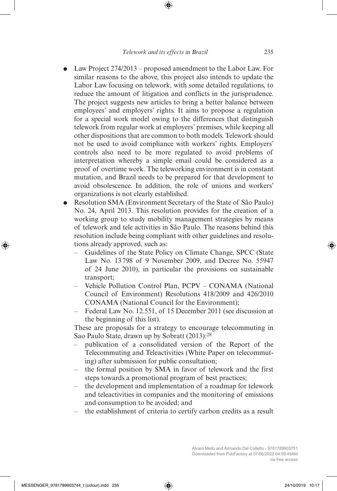- Law Project  $274/2013$  proposed amendment to the Labor Law. For similar reasons to the above, this project also intends to update the Labor Law focusing on telework, with some detailed regulations, to reduce the amount of litigation and conflicts in the jurisprudence. The project suggests new articles to bring a better balance between employees' and employers' rights. It aims to propose a regulation for a special work model owing to the differences that distinguish telework from regular work at employers' premises, while keeping all other dispositions that are common to both models. Telework should not be used to avoid compliance with workers' rights. Employers' controls also need to be more regulated to avoid problems of interpretation whereby a simple email could be considered as a proof of overtime work. The teleworking environment is in constant mutation, and Brazil needs to be prepared for that development to avoid obsolescence. In addition, the role of unions and workers' organizations is not clearly established.
- Resolution SMA (Environment Secretary of the State of São Paulo) No. 24, April 2013. This resolution provides for the creation of a working group to study mobility management strategies by means of telework and tele activities in São Paulo. The reasons behind this resolution include being compliant with other guidelines and resolutions already approved, such as:
	- Guidelines of the State Policy on Climate Change, SPCC (State Law No. 13798 of 9 November 2009, and Decree No. 55947 of 24 June 2010), in particular the provisions on sustainable transport;
	- Vehicle Pollution Control Plan, PCPV CONAMA (National Council of Environment) Resolutions 418/2009 and 426/2010 CONAMA (National Council for the Environment);
	- Federal Law No. 12.551, of 15 December 2011 (see discussion at the beginning of this list).

 These are proposals for a strategy to encourage telecommuting in Sao Paulo State, drawn up by Sobratt (2013):28

- publication of a consolidated version of the Report of the Telecommuting and Teleactivities (White Paper on telecommuting) after submission for public consultation;
- the formal position by SMA in favor of telework and the first steps towards a promotional program of best practices;
- the development and implementation of a roadmap for telework and teleactivities in companies and the monitoring of emissions and consumption to be avoided; and
- the establishment of criteria to certify carbon credits as a result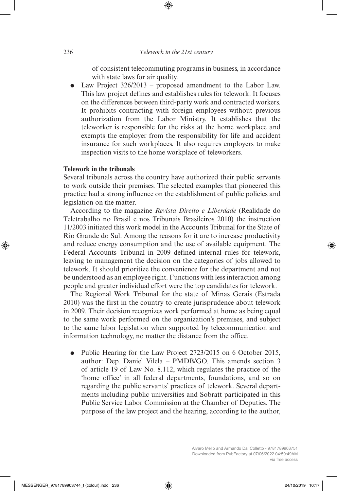of consistent telecommuting programs in business, in accordance with state laws for air quality.

Law Project  $326/2013$  – proposed amendment to the Labor Law. This law project defines and establishes rules for telework. It focuses on the differences between third-party work and contracted workers. It prohibits contracting with foreign employees without previous authorization from the Labor Ministry. It establishes that the teleworker is responsible for the risks at the home workplace and exempts the employer from the responsibility for life and accident insurance for such workplaces. It also requires employers to make inspection visits to the home workplace of teleworkers.

#### **Telework in the tribunals**

Several tribunals across the country have authorized their public servants to work outside their premises. The selected examples that pioneered this practice had a strong influence on the establishment of public policies and legislation on the matter.

According to the magazine *Revista Direito e Liberdade* (Realidade do Teletrabalho no Brasil e nos Tribunais Brasileiros 2010) the instruction 11/2003 initiated this work model in the Accounts Tribunal for the State of Rio Grande do Sul. Among the reasons for it are to increase productivity and reduce energy consumption and the use of available equipment. The Federal Accounts Tribunal in 2009 defined internal rules for telework, leaving to management the decision on the categories of jobs allowed to telework. It should prioritize the convenience for the department and not be understood as an employee right. Functions with less interaction among people and greater individual effort were the top candidates for telework.

The Regional Work Tribunal for the state of Minas Gerais (Estrada 2010) was the first in the country to create jurisprudence about telework in 2009. Their decision recognizes work performed at home as being equal to the same work performed on the organization's premises, and subject to the same labor legislation when supported by telecommunication and information technology, no matter the distance from the office.

• Public Hearing for the Law Project 2723/2015 on 6 October 2015, author: Dep. Daniel Vilela – PMDB/GO. This amends section 3 of article 19 of Law No. 8.112, which regulates the practice of the 'home office' in all federal departments, foundations, and so on regarding the public servants' practices of telework. Several departments including public universities and Sobratt participated in this Public Service Labor Commission at the Chamber of Deputies. The purpose of the law project and the hearing, according to the author,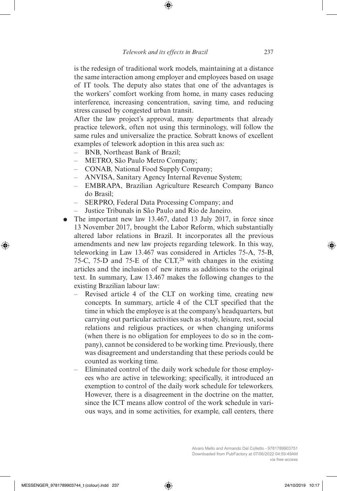is the redesign of traditional work models, maintaining at a distance the same interaction among employer and employees based on usage of IT tools. The deputy also states that one of the advantages is the workers' comfort working from home, in many cases reducing interference, increasing concentration, saving time, and reducing stress caused by congested urban transit.

 After the law project's approval, many departments that already practice telework, often not using this terminology, will follow the same rules and universalize the practice. Sobratt knows of excellent examples of telework adoption in this area such as:

- BNB, Northeast Bank of Brazil;
- METRO, São Paulo Metro Company;
- CONAB, National Food Supply Company;
- ANVISA, Sanitary Agency Internal Revenue System;
- EMBRAPA, Brazilian Agriculture Research Company Banco do Brasil;
- SERPRO, Federal Data Processing Company; and
- Justice Tribunals in São Paulo and Rio de Janeiro.
- The important new law 13.467, dated 13 July 2017, in force since 13 November 2017, brought the Labor Reform, which substantially altered labor relations in Brazil. It incorporates all the previous amendments and new law projects regarding telework. In this way, teleworking in Law 13.467 was considered in Articles 75-A, 75-B, 75-C, 75-D and 75-E of the CLT,<sup>29</sup> with changes in the existing articles and the inclusion of new items as additions to the original text. In summary, Law 13.467 makes the following changes to the existing Brazilian labour law:
	- Revised article 4 of the CLT on working time, creating new concepts. In summary, article 4 of the CLT specified that the time in which the employee is at the company's headquarters, but carrying out particular activities such as study, leisure, rest, social relations and religious practices, or when changing uniforms (when there is no obligation for employees to do so in the company), cannot be considered to be working time. Previously, there was disagreement and understanding that these periods could be counted as working time.
	- Eliminated control of the daily work schedule for those employees who are active in teleworking; specifically, it introduced an exemption to control of the daily work schedule for teleworkers. However, there is a disagreement in the doctrine on the matter, since the ICT means allow control of the work schedule in various ways, and in some activities, for example, call centers, there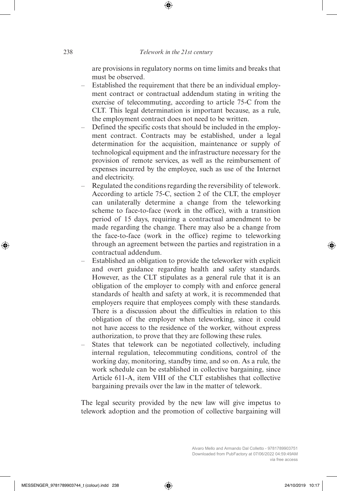are provisions in regulatory norms on time limits and breaks that must be observed.

- Established the requirement that there be an individual employment contract or contractual addendum stating in writing the exercise of telecommuting, according to article 75-C from the CLT. This legal determination is important because, as a rule, the employment contract does not need to be written.
- Defined the specific costs that should be included in the employment contract. Contracts may be established, under a legal determination for the acquisition, maintenance or supply of technological equipment and the infrastructure necessary for the provision of remote services, as well as the reimbursement of expenses incurred by the employee, such as use of the Internet and electricity.
- Regulated the conditions regarding the reversibility of telework. According to article 75-C, section 2 of the CLT, the employer can unilaterally determine a change from the teleworking scheme to face-to-face (work in the office), with a transition period of 15 days, requiring a contractual amendment to be made regarding the change. There may also be a change from the face-to-face (work in the office) regime to teleworking through an agreement between the parties and registration in a contractual addendum.
- Established an obligation to provide the teleworker with explicit and overt guidance regarding health and safety standards. However, as the CLT stipulates as a general rule that it is an obligation of the employer to comply with and enforce general standards of health and safety at work, it is recommended that employers require that employees comply with these standards. There is a discussion about the difficulties in relation to this obligation of the employer when teleworking, since it could not have access to the residence of the worker, without express authorization, to prove that they are following these rules.
- States that telework can be negotiated collectively, including internal regulation, telecommuting conditions, control of the working day, monitoring, standby time, and so on. As a rule, the work schedule can be established in collective bargaining, since Article 611-A, item VIII of the CLT establishes that collective bargaining prevails over the law in the matter of telework.

 The legal security provided by the new law will give impetus to telework adoption and the promotion of collective bargaining will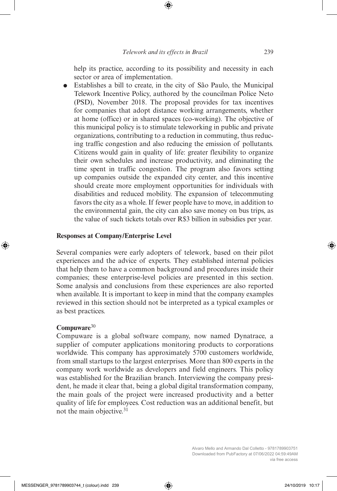help its practice, according to its possibility and necessity in each sector or area of implementation.

● Establishes a bill to create, in the city of São Paulo, the Municipal Telework Incentive Policy, authored by the councilman Police Neto (PSD), November 2018. The proposal provides for tax incentives for companies that adopt distance working arrangements, whether at home (office) or in shared spaces (co-working). The objective of this municipal policy is to stimulate teleworking in public and private organizations, contributing to a reduction in commuting, thus reducing traffic congestion and also reducing the emission of pollutants. Citizens would gain in quality of life: greater flexibility to organize their own schedules and increase productivity, and eliminating the time spent in traffic congestion. The program also favors setting up companies outside the expanded city center, and this incentive should create more employment opportunities for individuals with disabilities and reduced mobility. The expansion of telecommuting favors the city as a whole. If fewer people have to move, in addition to the environmental gain, the city can also save money on bus trips, as the value of such tickets totals over R\$3 billion in subsidies per year.

#### **Responses at Company/Enterprise Level**

Several companies were early adopters of telework, based on their pilot experiences and the advice of experts. They established internal policies that help them to have a common background and procedures inside their companies; these enterprise-level policies are presented in this section. Some analysis and conclusions from these experiences are also reported when available. It is important to keep in mind that the company examples reviewed in this section should not be interpreted as a typical examples or as best practices.

#### **Compuware**<sup>30</sup>

Compuware is a global software company, now named Dynatrace, a supplier of computer applications monitoring products to corporations worldwide. This company has approximately 5700 customers worldwide, from small startups to the largest enterprises. More than 800 experts in the company work worldwide as developers and field engineers. This policy was established for the Brazilian branch. Interviewing the company president, he made it clear that, being a global digital transformation company, the main goals of the project were increased productivity and a better quality of life for employees. Cost reduction was an additional benefit, but not the main objective.31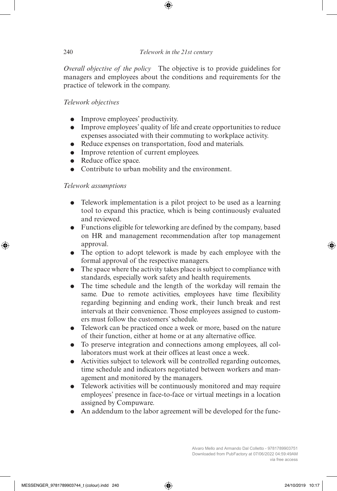*Overall objective of the policy* The objective is to provide guidelines for managers and employees about the conditions and requirements for the practice of telework in the company.

# *Telework objectives*

- Improve employees' productivity.
- Improve employees' quality of life and create opportunities to reduce expenses associated with their commuting to workplace activity.
- Reduce expenses on transportation, food and materials.
- Improve retention of current employees.
- Reduce office space.
- Contribute to urban mobility and the environment.

# *Telework assumptions*

- Telework implementation is a pilot project to be used as a learning tool to expand this practice, which is being continuously evaluated and reviewed.
- Functions eligible for teleworking are defined by the company, based on HR and management recommendation after top management approval.
- The option to adopt telework is made by each employee with the formal approval of the respective managers.
- The space where the activity takes place is subject to compliance with standards, especially work safety and health requirements.
- The time schedule and the length of the workday will remain the same. Due to remote activities, employees have time flexibility regarding beginning and ending work, their lunch break and rest intervals at their convenience. Those employees assigned to customers must follow the customers' schedule.
- Telework can be practiced once a week or more, based on the nature of their function, either at home or at any alternative office.
- To preserve integration and connections among employees, all collaborators must work at their offices at least once a week.
- Activities subject to telework will be controlled regarding outcomes, time schedule and indicators negotiated between workers and management and monitored by the managers.
- Telework activities will be continuously monitored and may require employees' presence in face-to-face or virtual meetings in a location assigned by Compuware.
- An addendum to the labor agreement will be developed for the func-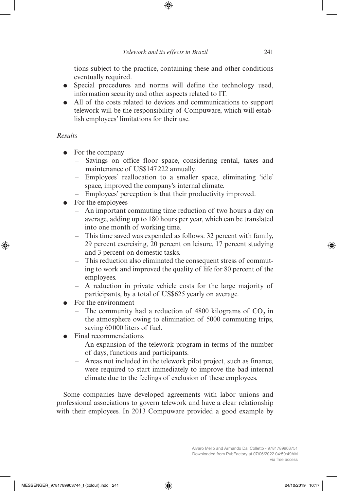tions subject to the practice, containing these and other conditions eventually required.

- Special procedures and norms will define the technology used, information security and other aspects related to IT.
- All of the costs related to devices and communications to support telework will be the responsibility of Compuware, which will establish employees' limitations for their use.

# *Results*

- For the company
	- Savings on office floor space, considering rental, taxes and maintenance of US\$147 222 annually.
	- Employees' reallocation to a smaller space, eliminating 'idle' space, improved the company's internal climate.
	- Employees' perception is that their productivity improved.
- For the employees
	- An important commuting time reduction of two hours a day on average, adding up to 180 hours per year, which can be translated into one month of working time.
	- This time saved was expended as follows: 32 percent with family, 29 percent exercising, 20 percent on leisure, 17 percent studying and 3 percent on domestic tasks.
	- This reduction also eliminated the consequent stress of commuting to work and improved the quality of life for 80 percent of the employees.
	- A reduction in private vehicle costs for the large majority of participants, by a total of US\$625 yearly on average.
- For the environment
	- The community had a reduction of 4800 kilograms of  $CO<sub>2</sub>$  in the atmosphere owing to elimination of 5000 commuting trips, saving 60000 liters of fuel.
- **Final recommendations** 
	- An expansion of the telework program in terms of the number of days, functions and participants.
	- Areas not included in the telework pilot project, such as finance, were required to start immediately to improve the bad internal climate due to the feelings of exclusion of these employees.

Some companies have developed agreements with labor unions and professional associations to govern telework and have a clear relationship with their employees. In 2013 Compuware provided a good example by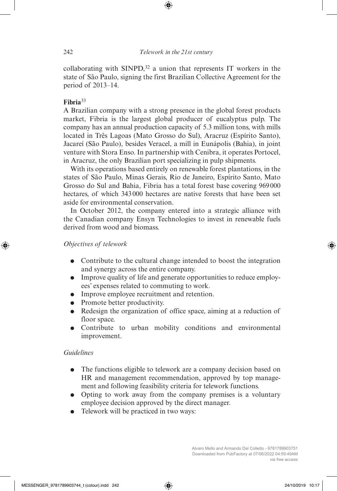collaborating with SINPD,  $32$  a union that represents IT workers in the state of São Paulo, signing the first Brazilian Collective Agreement for the period of 2013–14.

#### **Fibria**<sup>33</sup>

A Brazilian company with a strong presence in the global forest products market, Fibria is the largest global producer of eucalyptus pulp. The company has an annual production capacity of 5.3 million tons, with mills located in Três Lagoas (Mato Grosso do Sul), Aracruz (Espírito Santo), Jacareí (São Paulo), besides Veracel, a mill in Eunápolis (Bahia), in joint venture with Stora Enso. In partnership with Cenibra, it operates Portocel, in Aracruz, the only Brazilian port specializing in pulp shipments.

With its operations based entirely on renewable forest plantations, in the states of São Paulo, Minas Gerais, Rio de Janeiro, Espírito Santo, Mato Grosso do Sul and Bahia, Fibria has a total forest base covering 969000 hectares, of which 343000 hectares are native forests that have been set aside for environmental conservation.

In October 2012, the company entered into a strategic alliance with the Canadian company Ensyn Technologies to invest in renewable fuels derived from wood and biomass.

#### *Objectives of telework*

- Contribute to the cultural change intended to boost the integration and synergy across the entire company.
- Improve quality of life and generate opportunities to reduce employees' expenses related to commuting to work.
- Improve employee recruitment and retention.
- Promote better productivity.
- Redesign the organization of office space, aiming at a reduction of floor space.
- Contribute to urban mobility conditions and environmental improvement.

### *Guidelines*

- The functions eligible to telework are a company decision based on HR and management recommendation, approved by top management and following feasibility criteria for telework functions.
- Opting to work away from the company premises is a voluntary employee decision approved by the direct manager.
- Telework will be practiced in two ways: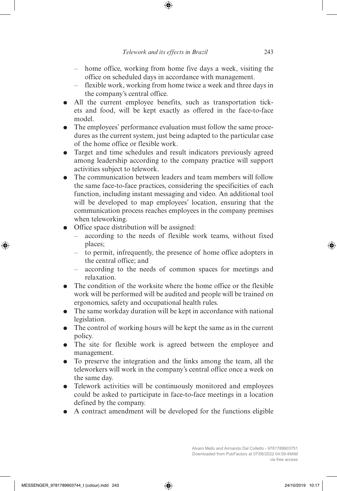- home office, working from home five days a week, visiting the office on scheduled days in accordance with management.
- flexible work, working from home twice a week and three days in the company's central office.
- All the current employee benefits, such as transportation tickets and food, will be kept exactly as offered in the face-to-face model.
- The employees' performance evaluation must follow the same procedures as the current system, just being adapted to the particular case of the home office or flexible work.
- Target and time schedules and result indicators previously agreed among leadership according to the company practice will support activities subject to telework.
- The communication between leaders and team members will follow the same face-to-face practices, considering the specificities of each function, including instant messaging and video. An additional tool will be developed to map employees' location, ensuring that the communication process reaches employees in the company premises when teleworking.
- Office space distribution will be assigned:
	- according to the needs of flexible work teams, without fixed places;
	- to permit, infrequently, the presence of home office adopters in the central office; and
	- according to the needs of common spaces for meetings and relaxation.
- The condition of the worksite where the home office or the flexible work will be performed will be audited and people will be trained on ergonomics, safety and occupational health rules.
- The same workday duration will be kept in accordance with national legislation.
- The control of working hours will be kept the same as in the current policy.
- The site for flexible work is agreed between the employee and management.
- To preserve the integration and the links among the team, all the teleworkers will work in the company's central office once a week on the same day.
- Telework activities will be continuously monitored and employees could be asked to participate in face-to-face meetings in a location defined by the company.
- A contract amendment will be developed for the functions eligible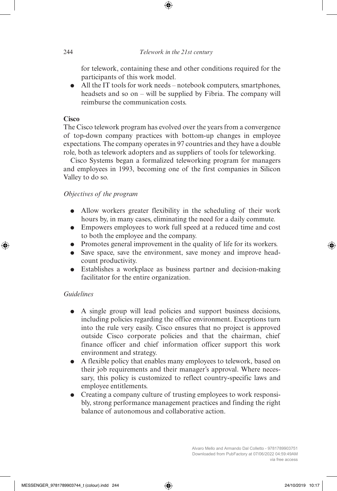for telework, containing these and other conditions required for the participants of this work model.

● All the IT tools for work needs – notebook computers, smartphones, headsets and so on – will be supplied by Fibria. The company will reimburse the communication costs.

#### **Cisco**

The Cisco telework program has evolved over the years from a convergence of top-down company practices with bottom-up changes in employee expectations. The company operates in 97 countries and they have a double role, both as telework adopters and as suppliers of tools for teleworking.

Cisco Systems began a formalized teleworking program for managers and employees in 1993, becoming one of the first companies in Silicon Valley to do so.

#### *Objectives of the program*

- Allow workers greater flexibility in the scheduling of their work hours by, in many cases, eliminating the need for a daily commute.
- Empowers employees to work full speed at a reduced time and cost to both the employee and the company.
- Promotes general improvement in the quality of life for its workers.
- Save space, save the environment, save money and improve headcount productivity.
- Establishes a workplace as business partner and decision-making facilitator for the entire organization.

## *Guidelines*

- A single group will lead policies and support business decisions, including policies regarding the office environment. Exceptions turn into the rule very easily. Cisco ensures that no project is approved outside Cisco corporate policies and that the chairman, chief finance officer and chief information officer support this work environment and strategy.
- A flexible policy that enables many employees to telework, based on their job requirements and their manager's approval. Where necessary, this policy is customized to reflect country-specific laws and employee entitlements.
- Creating a company culture of trusting employees to work responsibly, strong performance management practices and finding the right balance of autonomous and collaborative action.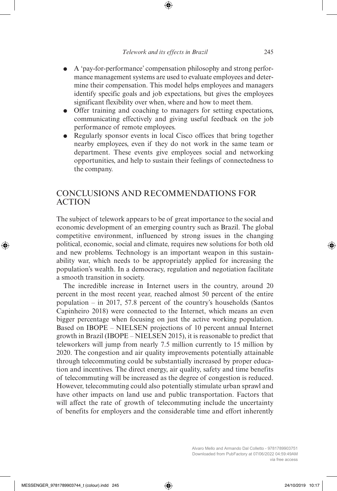- A 'pay-for-performance' compensation philosophy and strong performance management systems are used to evaluate employees and determine their compensation. This model helps employees and managers identify specific goals and job expectations, but gives the employees significant flexibility over when, where and how to meet them.
- Offer training and coaching to managers for setting expectations, communicating effectively and giving useful feedback on the job performance of remote employees.
- Regularly sponsor events in local Cisco offices that bring together nearby employees, even if they do not work in the same team or department. These events give employees social and networking opportunities, and help to sustain their feelings of connectedness to the company.

# CONCLUSIONS AND RECOMMENDATIONS FOR ACTION

The subject of telework appears to be of great importance to the social and economic development of an emerging country such as Brazil. The global competitive environment, influenced by strong issues in the changing political, economic, social and climate, requires new solutions for both old and new problems. Technology is an important weapon in this sustainability war, which needs to be appropriately applied for increasing the population's wealth. In a democracy, regulation and negotiation facilitate a smooth transition in society.

The incredible increase in Internet users in the country, around 20 percent in the most recent year, reached almost 50 percent of the entire population – in 2017, 57.8 percent of the country's households (Santos Capinheiro 2018) were connected to the Internet, which means an even bigger percentage when focusing on just the active working population. Based on IBOPE – NIELSEN projections of 10 percent annual Internet growth in Brazil (IBOPE – NIELSEN 2015), it is reasonable to predict that teleworkers will jump from nearly 7.5 million currently to 15 million by 2020. The congestion and air quality improvements potentially attainable through telecommuting could be substantially increased by proper education and incentives. The direct energy, air quality, safety and time benefits of telecommuting will be increased as the degree of congestion is reduced. However, telecommuting could also potentially stimulate urban sprawl and have other impacts on land use and public transportation. Factors that will affect the rate of growth of telecommuting include the uncertainty of benefits for employers and the considerable time and effort inherently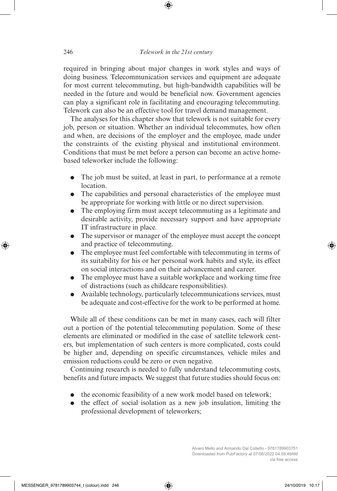required in bringing about major changes in work styles and ways of doing business. Telecommunication services and equipment are adequate for most current telecommuting, but high-bandwidth capabilities will be needed in the future and would be beneficial now. Government agencies can play a significant role in facilitating and encouraging telecommuting. Telework can also be an effective tool for travel demand management.

The analyses for this chapter show that telework is not suitable for every job, person or situation. Whether an individual telecommutes, how often and when, are decisions of the employer and the employee, made under the constraints of the existing physical and institutional environment. Conditions that must be met before a person can become an active homebased teleworker include the following:

- The job must be suited, at least in part, to performance at a remote location.
- The capabilities and personal characteristics of the employee must be appropriate for working with little or no direct supervision.
- The employing firm must accept telecommuting as a legitimate and desirable activity, provide necessary support and have appropriate IT infrastructure in place.
- The supervisor or manager of the employee must accept the concept and practice of telecommuting.
- The employee must feel comfortable with telecommuting in terms of its suitability for his or her personal work habits and style, its effect on social interactions and on their advancement and career.
- The employee must have a suitable workplace and working time free of distractions (such as childcare responsibilities).
- Available technology, particularly telecommunications services, must be adequate and cost-effective for the work to be performed at home.

While all of these conditions can be met in many cases, each will filter out a portion of the potential telecommuting population. Some of these elements are eliminated or modified in the case of satellite telework centers, but implementation of such centers is more complicated, costs could be higher and, depending on specific circumstances, vehicle miles and emission reductions could be zero or even negative.

Continuing research is needed to fully understand telecommuting costs, benefits and future impacts. We suggest that future studies should focus on:

- the economic feasibility of a new work model based on telework;
- the effect of social isolation as a new job insulation, limiting the professional development of teleworkers;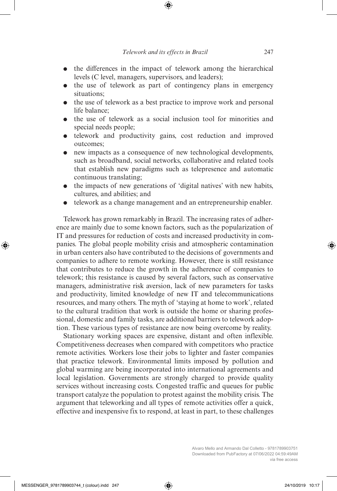- the differences in the impact of telework among the hierarchical levels (C level, managers, supervisors, and leaders);
- the use of telework as part of contingency plans in emergency situations;
- the use of telework as a best practice to improve work and personal life balance;
- the use of telework as a social inclusion tool for minorities and special needs people;
- telework and productivity gains, cost reduction and improved outcomes;
- new impacts as a consequence of new technological developments, such as broadband, social networks, collaborative and related tools that establish new paradigms such as telepresence and automatic continuous translating;
- the impacts of new generations of 'digital natives' with new habits, cultures, and abilities; and
- telework as a change management and an entrepreneurship enabler.

Telework has grown remarkably in Brazil. The increasing rates of adherence are mainly due to some known factors, such as the popularization of IT and pressures for reduction of costs and increased productivity in companies. The global people mobility crisis and atmospheric contamination in urban centers also have contributed to the decisions of governments and companies to adhere to remote working. However, there is still resistance that contributes to reduce the growth in the adherence of companies to telework; this resistance is caused by several factors, such as conservative managers, administrative risk aversion, lack of new parameters for tasks and productivity, limited knowledge of new IT and telecommunications resources, and many others. The myth of 'staying at home to work', related to the cultural tradition that work is outside the home or sharing professional, domestic and family tasks, are additional barriers to telework adoption. These various types of resistance are now being overcome by reality.

Stationary working spaces are expensive, distant and often inflexible. Competitiveness decreases when compared with competitors who practice remote activities. Workers lose their jobs to lighter and faster companies that practice telework. Environmental limits imposed by pollution and global warming are being incorporated into international agreements and local legislation. Governments are strongly charged to provide quality services without increasing costs. Congested traffic and queues for public transport catalyze the population to protest against the mobility crisis. The argument that teleworking and all types of remote activities offer a quick, effective and inexpensive fix to respond, at least in part, to these challenges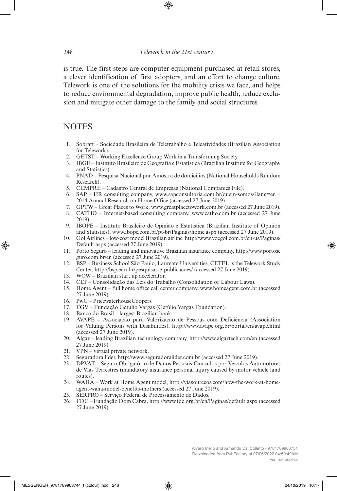is true. The first steps are computer equipment purchased at retail stores, a clever identification of first adopters, and an effort to change culture. Telework is one of the solutions for the mobility crisis we face, and helps to reduce environmental degradation, improve public health, reduce exclusion and mitigate other damage to the family and social structures.

# **NOTES**

- 1. Sobratt Sociedade Brasileira de Teletrabalho e Teleatividades (Brazilian Association for Telework).
- 2. GETST Working Excellence Group Work in a Transforming Society.
- 3. IBGE Instituto Brasileiro de Geografia e Estatística (Brazilian Institute for Geography and Statistics).
- 4. PNAD Pesquisa Nacional por Amostra de domicílios (National Households Random Research).
- 5. CEMPRE Cadastro Central de Empresas (National Companies File).
- 6. SAP HR consulting company, www.sapconsultoria.com.br/quem-somos/?lang=en 2014 Annual Research on Home Office (accessed 27 June 2019).
- 7. GPTW Great Places to Work, www.greatplacetowork.com.br (accessed 27 June 2019).
- 8. CATHO Internet-based consulting company, www.catho.com.br (accessed 27 June 2019).
- 9. IBOPE Instituto Brasileiro de Opinião e Estatistica (Brazilian Institute of Opinion and Statistics), www.ibope.com.br/pt-br/Paginas/home.aspx (accessed 27 June 2019).
- 10. Gol Airlines low-cost model Brazilian airline, http://www.voegol.com.br/en-us/Paginas/ Default.aspx (accessed 27 June 2019).
- 11. Porto Seguro leading and innovative Brazilian insurance company, http://www.portose guro.com.br/en (accessed 27 June 2019).
- 12. BSP Business School São Paulo, Laureate Universities, CETEL is the Telework Study Center, http://bsp.edu.br/pesquisas-e-publicacoes/ (accessed 27 June 2019).
- 13. WOW Brazilian start up accelerator.
- 14. CLT Consolidação das Leis do Trabalho (Consolidation of Labour Laws).
- 15. Home Agent full home office call center company, www.homeagent.com.br (accessed 27 June 2019).
- 16. PwC PricewaterhouseCoopers.
- 17. FGV Fundação Getulio Vargas (Getúlio Vargas Foundation).
- 18. Banco do Brasil largest Brazilian bank.
- 19. AVAPE Associação para Valorização de Pessoas com Deficiência (Association for Valuing Persons with Disabilities), http://www.avape.org.br/portal/en/avape.html (accessed 27 June 2019).
- 20. Algar leading Brazilian technology company, http://www.algartech.com/en (accessed 27 June 2019).
- 21. VPN virtual private network.
- 22. Seguradora líder, http://www.seguradoralider.com.br (accessed 27 June 2019).
- 23. DPVAT Seguro Obrigatório de Danos Pessoais Causados por Veículos Automotores de Vias Terrestres (mandatory insurance personal injury caused by motor vehicle land routes).
- 24. WAHA Work at Home Agent model, http://viasourceos.com/how-the-work-at-homeagent-waha-model-benefits-mothers (accessed 27 June 2019).
- 25. SERPRO Serviço Federal de Processamento de Dados.
- 26. FDC Fundação Dom Cabra, http://www.fdc.org.br/en/Paginas/default.aspx (accessed 27 June 2019).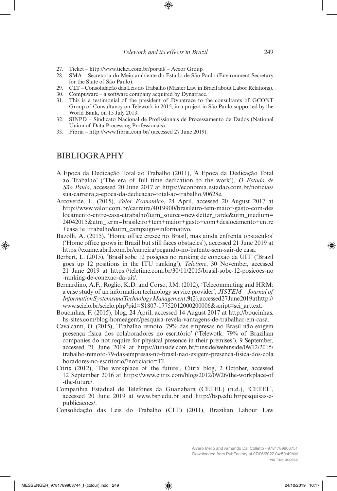- 27. Ticket http://www.ticket.com.br/portal/ Accor Group.
- 28. SMA Secretaria do Meio ambiente do Estado de São Paulo (Environment Secretary for the State of São Paulo).
- 29. CLT Consolidação das Leis do Trabalho (Master Law in Brazil about Labor Relations).
- 30. Compuware a software company acquired by Dynatrace.
- 31. This is a testimonial of the president of Dynatrace to the consultants of GCONT Group of Consultancy on Telework in 2015, in a project in São Paulo supported by the World Bank, on 15 July 2013.
- 32. SINPD Sindicato Nacional de Profissionais de Processamento de Dados (National Union of Data Processing Professionals).
- 33. Fibria http://www.fibria.com.br/ (accessed 27 June 2019).

# BIBLIOGRAPHY

- A Epoca da Dedicação Total ao Trabalho (2011), 'A Epoca da Dedicação Total ao Trabalho' ('The era of full time dedication to the work'), *O Estado de São Paulo*, accessed 20 June 2017 at https://economia.estadao.com.br/noticias/ sua-carreira,a-epoca-da-dedicacao-total-ao-trabalho,90628e.
- Arcoverde, L. (2015), *Valor Economico*, 24 April, accessed 20 August 2017 at http://www.valor.com.br/carreira/4019900/brasileiro-tem-maior-gasto-com-des locamento-entre-casa-etrabalho?utm\_source=newsletter\_tarde&utm\_medium= 24042015&utm\_term=brasileiro+tem+maior+gasto+com+deslocamento+entre +casa+e+trabalho&utm\_campaign=informativo.
- Bazolli, A. (2015), 'Home office cresce no Brasil, mas ainda enfrenta obstaculos' ('Home office grows in Brazil but still faces obstacles'), accessed 21 June 2019 at https://exame.abril.com.br/carreira/pegando-no-batente-sem-sair-de casa.
- Berbert, L. (2015), 'Brasil sobe 12 posições no ranking de conexão da UIT' ('Brazil goes up 12 positions in the ITU ranking'), *Teletime*, 30 November, accessed 21 June 2019 at https://teletime.com.br/30/11/2015/brasil-sobe-12-posicoes-no -ranking-de-conexao-da-uit/.
- Bernardino, A.F., Roglio, K.D. and Corso, J.M. (2012), 'Telecommuting and HRM: a case study of an information technology service provider', *JISTEM – Journal of Information Systems and Technology Management*, **9** (2), accessed 27 June 2019 at http:// www.scielo.br/scielo.php?pid=S1807-17752012000200006&script=sci\_arttext.
- Boucinhas, F. (2015), blog, 24 April, accessed 14 August 2017 at http://boucinhas. hs-sites.com/blog-homeagent/pesquisa-revela-vantagens-de-trabalhar-em-casa.
- Cavalcanti, O. (2015), 'Trabalho remoto: 79% das empresas no Brasil não exigem presença física dos colaboradores no escritório' ('Telewotk: 79% of Brazilian companies do not require for physical presence in their premises'), 9 September, accessed 21 June 2019 at https://tiinside.com.br/tiinside/webinside/09/12/2015/ trabalho-remoto-79-das-empresas-no-brasil-nao-exigem-presenca-fisica-dos-cola boradores-no-escritorio/?noticiario=TI.
- Citrix (2012), 'The workplace of the future', Citrix blog, 2 October, accessed 12 September 2016 at https://www.citrix.com/blogs2012/09/26/the-workplace-of -the-future/.
- Companhia Estadual de Telefones da Guanabara (CETEL) (n.d.), 'CETEL', accessed 20 June 2019 at www.bsp.edu.br and http://bsp.edu.br/pesquisas-epublicacoes/.
- Consolidação das Leis do Trabalho (CLT) (2011), Brazilian Labour Law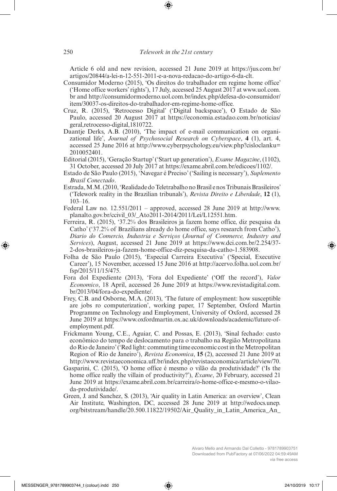Article 6 old and new revision, accessed 21 June 2019 at https://jus.com.br/ artigos/20844/a-lei-n-12-551-2011-e-a-nova-redacao-do-artigo-6-da-clt.

- Consumidor Moderno (2015), 'Os direitos do trabalhador em regime home office' ('Home office workers' rights'), 17 July, accessed 25 August 2017 at www.uol.com. br and http://consumidormoderno.uol.com.br/index.php/defesa-do-consumidor/ item/30037-os-direitos-do-trabalhador-em-regime-home-office.
- Cruz, R. (2015), 'Retrocesso Digital' ('Digital backspace'), O Estado de São Paulo, accessed 20 August 2017 at https://economia.estadao.com.br/noticias/ geral,retrocesso-digital,1810722.
- Daantje Derks, A.B. (2010), 'The impact of e-mail communication on organizational life', *Journal of Psychosocial Research on Cyberspace*, **4** (1), art. 4, accessed 25 June 2016 at http://www.cyberpsychology.eu/view.php?cisloclanku= 2010052401.
- Editorial (2015), 'Geração Startup' ('Start up generation'), *Exame Magazine*, (1102), 31 October, accessed 20 July 2017 at https://exame.abril.com.br/edicoes/1102/.
- Estado de São Paulo (2015), 'Navegar é Preciso' ('Sailing is necessary'), *Suplemento Brasil Conectado*.
- Estrada, M.M. (2010, 'Realidade do Teletrabalho no Brasil e nos Tribunais Brasileiros' ('Telework reality in the Brazilian tribunals'), *Revista Direito e Liberdade*, **12** (1), 103–16.
- Federal Law no. 12.551/2011 approved, accessed 28 June 2019 at http://www. planalto.gov.br/ccivil\_03/\_Ato2011-2014/2011/Lei/L12551.htm.
- Ferreira, R. (2015), '37.2% dos Brasileiros ja fazem home office, diz pesquisa da Catho' ('37.2% of Brazilians already do home office, says research from Catho'), *Diario do Comercio, Industria e Serviços* (*Journal of Commerce, Industry and Services*), August, accessed 21 June 2019 at https://www.dci.com.br/2.254/37- 2-dos-brasileiros-ja-fazem-home-office-diz-pesquisa-da-catho-1.583908.
- Folha de São Paulo (2015), 'Especial Carreira Executiva' ('Special, Executive Career'), 15 November, accessed 15 June 2016 at http://acervo.folha.uol.com.br/ fsp/2015/11/15/475.
- Fora dol Expediente (2013), 'Fora dol Expediente' ('Off the record'), *Valor Economico*, 18 April, accessed 26 June 2019 at https://www.revistadigital.com. br/2013/04/fora-do-expediente/.
- Frey, C.B. and Osborne, M.A. (2013), 'The future of employment: how susceptible are jobs ro computerization', working paper, 17 September, Oxford Martin Programme on Technology and Employment, University of Oxford, accessed 28 June 2019 at https://www.oxfordmartin.ox.ac.uk/downloads/academic/future-ofemployment.pdf.
- Frickmann Young, C.E., Aguiar, C. and Possas, E. (2013), 'Sinal fechado: custo econômico do tempo de deslocamento para o trabalho na Região Metropolitana do Rio de Janeiro' ('Red light: commuting time economic cost in the Metropolitan Region of Rio de Janeiro'), *Revista Economica*, **15** (2), accessed 21 June 2019 at http://www.revistaeconomica.uff.br/index.php/revistaeconomica/article/view/70.
- Gasparini, C. (2015), 'O home office é mesmo o vilão da produtividade?' ('Is the home office really the villain of productivity?'), *Exame*, 20 February, accessed 21 June 2019 at https://exame.abril.com.br/carreira/o-home-office-e-mesmo-o-vilaoda-produtividade/.
- Green, J. and Sanchez, S. (2013), 'Air quality in Latin America: an overview', Clean Air Institute, Washington, DC, accessed 28 June 2019 at http://wedocs.unep. org/bitstream/handle/20.500.11822/19502/Air\_Quality\_in\_Latin\_America\_An\_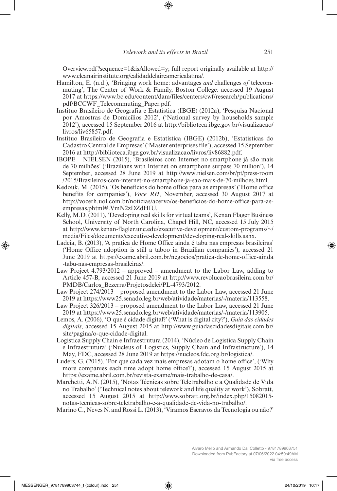Overview.pdf?sequence=1&isAllowed=y; full report originally available at http:// www.cleanairinstitute.org/calidaddelaireamericalatina/.

- Hamilton, E. (n.d.), 'Bringing work home: advantages *and* challenges *of* telecommuting', The Center of Work & Family, Boston College: accessed 19 August 2017 at https://www.bc.edu/content/dam/files/centers/cwf/research/publications/ pdf/BCCWF\_Telecommuting\_Paper.pdf.
- Instituo Brasileiro de Geografia e Estatística (IBGE) (2012a), 'Pesquisa Nacional por Amostras de Domicilios 2012', ('National survey by households sample 2012'), accessed 15 September 2016 at http://biblioteca.ibge.gov.br/visualizacao/ livros/liv65857.pdf.
- Instituo Brasileiro de Geografia e Estatística (IBGE) (2012b), 'Estatisticas do Cadastro Central de Empresas' ('Master enterprises file'), accessed 15 September 2016 at http://biblioteca.ibge.gov.br/visualizacao/livros/liv86882.pdf.
- IBOPE NIELSEN (2015), 'Brasileiros com Internet no smartphone já são mais de 70 milhões' ('Brazilians with Internet on smartphone surpass 70 million'), 14 September, accessed 28 June 2019 at http://www.nielsen.com/br/pt/press-room /2015/Brasileiros-com-internet-no-smartphone-ja-sao-mais-de-70-milhoes.html.
- Kedouk, M. (2015), 'Os benefícios do home office para as empresas' ('Home office benefits for companies'), *Voce RH*, November, accessed 30 August 2017 at http://vocerh.uol.com.br/noticias/acervo/os-beneficios-do-home-office-para-asempresas.phtml#.VmN2zDZdHIU.
- Kelly, M.D. (2011), 'Developing real skills for virtual teams', Kenan Flager Business School, University of North Carolina, Chapel Hill, NC, accessed 15 July 2015 at http://www.kenan-flagler.unc.edu/executive-development/custom-programs/~/ media/Files/documents/executive-development/developing-real-skills.ashx.
- Ladeia, B. (2013), 'A pratica de Home Office ainda é tabu nas empresas brasileiras' ('Home Office adoption is still a taboo in Brazilian companies'), accessed 21 June 2019 at https://exame.abril.com.br/negocios/pratica-de-home-office-ainda -tabu-nas-empresas-brasileiras/.
- Law Project 4.793/2012 approved amendment to the Labor Law, adding to Article 457-B, accessed 21 June 2019 at http://www.revolucaobrasileira.com.br/ PMDB/Carlos\_Bezerra/Projetosdelei/PL-4793/2012.
- Law Project 274/2013 proposed amendment to the Labor Law, accessed 21 June 2019 at https://www25.senado.leg.br/web/atividade/materias/-/materia/113558.
- Law Project 326/2013 proposed amendment to the Labor Law, accessed 21 June 2019 at https://www25.senado.leg.br/web/atividade/materias/-/materia/113905.
- Lemos, A. (2006), 'O que é cidade digital?' ('What is digital city?'), *Guia das cidades digitais*, accessed 15 August 2015 at http://www.guiadascidadesdigitais.com.br/ site/pagina/o-que-cidade-digital.
- Logistica Supply Chain e Infraestrutura (2014), 'Núcleo de Logistica Supply Chain e Infraestrutura' ('Nucleus of Logistics, Supply Chain and Infrastructure'), 14 May, FDC, accessed 28 June 2019 at https://nucleos.fdc.org.br/logistica/.
- Luders, G. (2015), 'Por que cada vez mais empresas adotam o home office', ('Why more companies each time adopt home office?'), accessed 15 August 2015 at https://exame.abril.com.br/revista-exame/mais-trabalho-de-casa/.
- Marchetti, A.N. (2015), 'Notas Técnicas sobre Teletrabalho e a Qualidade de Vida no Trabalho' ('Technical notes about telework and life quality at work'), Sobratt, accessed 15 August 2015 at http://www.sobratt.org.br/index.php/15082015 notas-tecnicas-sobre-teletrabalho-e-a-qualidade-de-vida-no-trabalho/.
- Marino C., Neves N. and Rossi L. (2013), 'Viramos Escravos da Tecnologia ou não?'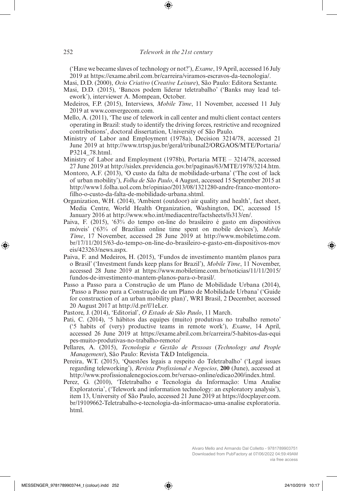('Have we became slaves of technology or not?'), *Exame*, 19 April, accessed 16 July 2019 at https://exame.abril.com.br/carreira/viramos-escravos-da-tecnologia/.

Masi, D.D. (2000), *Ocio Criativo* (*Creative Leisure*), São Paulo: Editora Sextante.

- Masi, D.D. (2015), 'Bancos podem liderar teletrabalho' ('Banks may lead telework'), interviewer A. Mompean, October.
- Medeiros, F.P. (2015), Interviews, *Mobile Time*, 11 November, accessed 11 July 2019 at www.convergecom.com.
- Mello, A. (2011), 'The use of telework in call center and multi client contact centers operating in Brazil: study to identify the driving forces, restrictive and recognized contributions', doctoral dissertation, University of São Paulo.
- Ministry of Labor and Employment (1978a), Decision 3214/78, accessed 21 June 2019 at http://www.trtsp.jus.br/geral/tribunal2/ORGAOS/MTE/Portaria/ P3214\_78.html.
- Ministry of Labor and Employment (1978b), Portaria MTE 3214/78, accessed 27 June 2019 at http://sislex.previdencia.gov.br/paginas/63/MTE/1978/3214.htm.
- Montoro, A.F. (2013), 'O custo da falta de mobilidade-urbana' ('The cost of lack of urban mobility'), *Folha de São Paulo*, 4 August, accessed 15 September 2015 at http://www1.folha.uol.com.br/opiniao/2013/08/1321280-andre-franco-montorofilho-o-custo-da-falta-de-mobilidade-urbana.shtml.
- Organization, W.H. (2014), 'Ambient (outdoor) air quality and health', fact sheet, Media Centre, World Health Organization, Washington, DC, accessed 15 January 2016 at http://www.who.int/mediacentre/factsheets/fs313/en/.
- Paiva, F. (2015), '63% do tempo on-line do brasileiro é gasto em dispositivos móveis' ('63% of Brazilian online time spent on mobile devices'), *Mobile Time*, 17 November, accessed 28 June 2019 at http://www.mobiletime.com. br/17/11/2015/63-do-tempo-on-line-do-brasileiro-e-gasto-em-dispositivos-mov eis/423263/news.aspx.
- Paiva, F. and Medeiros, H. (2015), 'Fundos de investimento mantêm planos para o Brasil' ('Investment funds keep plans for Brazil'), *Mobile Time*, 11 November, accessed 28 June 2019 at https://www.mobiletime.com.br/noticias/11/11/2015/ fundos-de-investimento-mantem-planos-para-o-brasil/.
- Passo a Passo para a Construção de um Plano de Mobilidade Urbana (2014), 'Passo a Passo para a Construção de um Plano de Mobilidade Urbana' ('Guide for construction of an urban mobility plan)', WRI Brasil, 2 December, accessed 20 August 2017 at http://d.pr/f/1eLcr.
- Pastore, J. (2014), 'Editorial', *O Estado de São Paulo*, 11 March.
- Pati, C. (2014), '5 hábitos das equipes (muito) produtivas no trabalho remoto' ('5 habits of (very) productive teams in remote work'), *Exame*, 14 April, accessed 26 June 2019 at https://exame.abril.com.br/carreira/5-habitos-das-equi pes-muito-produtivas-no-trabalho-remoto/
- Pellares, A. (2015), *Tecnologia e Gestão de Pessoas* (*Technology and People Management*), São Paulo: Revista T&D Inteligencia.
- Pereira, W.T. (2015), 'Questões legais a respeito do Teletrabalho' ('Legal issues regarding teleworking'), *Revista Profissional e Negocios*, **200** (June), accessed at http://www.profissionalenegocios.com.br/versao-online/edicao200/index.html.
- Perez, G. (2010), 'Teletrabalho e Tecnologia da Informação: Uma Analise Exploratoria', ('Telework and information technology: an exploratory analysis'), item 13, University of São Paulo, accessed 21 June 2019 at https://docplayer.com. br/19109662-Teletrabalho-e-tecnologia-da-informacao-uma-analise exploratoria. html.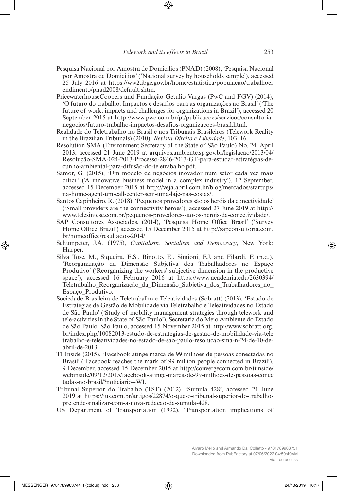- Pesquisa Nacional por Amostra de Domicilios (PNAD) (2008), 'Pesquisa Nacional por Amostra de Domicilios' ('National survey by households sample'), accessed 25 July 2016 at https://ww2.ibge.gov.br/home/estatistica/populacao/trabalhoer endimento/pnad2008/default.shtm.
- PricewaterhouseCoopers and Fundação Getulio Vargas (PwC and FGV) (2014), 'O futuro do trabalho: Impactos e desafios para as organizações no Brasil' ('The future of work: impacts and challenges for organizations in Brazil'), accessed 20 September 2015 at http://www.pwc.com.br/pt/publicacoes/servicos/consultorianegocios/futuro-trabalho-impactos-desafios-organizacoes-brasil.html.
- Realidade do Teletrabalho no Brasil e nos Tribunais Brasileiros (Telework Reality in the Brazilian Tribunals) (2010), *Revista Direito e Liberdade*, 103–16.
- Resolution SMA (Environment Secretary of the State of São Paulo) No. 24, April 2013, accessed 21 June 2019 at arquivos.ambiente.sp.gov.br/legislacao/2013/04/ Resolução-SMA-024-2013-Processo-2846-2013-GT-para-estudar-estratégias-decunho-ambiental-para-difusão-do-teletrabalho.pdf.
- Samor, G. (2015), 'Um modelo de negócios inovador num setor cada vez mais dificil' ('A innovative business model in a complex industry'), 12 September, accessed 15 December 2015 at http://veja.abril.com.br/blog/mercados/startups/ na-home-agent-um-call-center-sem-uma-laje-nas-costas/.
- Santos Capinheiro, R. (2018), 'Pequenos provedores são os heróis da conectividade' ('Small providers are the connectivity heroes'), accessed 27 June 2019 at http:// www.telesintese.com.br/pequenos-provedores-sao-os-herois-da-conectividade/.
- SAP Consultores Associados. (2014), 'Pesquisa Home Office Brasil' ('Survey Home Office Brazil') accessed 15 December 2015 at http://sapconsultoria.com. br/homeoffice/resultados-2014/.
- Schumpeter, J.A. (1975), *Capitalism, Socialism and Democracy*, New York: Harper.
- Silva Tose, M., Siqueira, E.S., Binotto, E., Simioni, F.J. and Filardi, F. (n.d.), 'Reorganização da Dimensão Subjetiva dos Trabalhadores no Espaço Produtivo' ('Reorganizing the workers' subjective dimension in the productive space'), accessed 16 February 2016 at https://www.academia.edu/2630394/ Teletrabalho\_Reorganização\_da\_Dimensão\_Subjetiva\_dos\_Trabalhadores\_no\_ Espaço\_Produtivo.
- Sociedade Brasileira de Teletrabalho e Teleatividades (Sobratt) (2013), 'Estudo de Estratégias de Gestão de Mobilidade via Teletrabalho e Teleatividades no Estado de São Paulo' ('Study of mobility management strategies through telework and tele-activities in the State of São Paulo'), Secretaria do Meio Ambiente do Estado de São Paulo, São Paulo, accessed 15 November 2015 at http://www.sobratt.org. br/index.php/10082013-estudo-de-estrategias-de-gestao-de-mobilidade-via-tele trabalho-e-teleatividades-no-estado-de-sao-paulo-resolucao-sma-n-24-de-10-deabril-de-2013.
- TI Inside (2015), 'Facebook atinge marca de 99 milhoes de pessoas conectadas no Brasil' ('Facebook reaches the mark of 99 million people connected in Brazil'), 9 December, accessed 15 December 2015 at http://convergecom.com.br/tiinside/ webinside/09/12/2015/facebook-atinge-marca-de-99-milhoes-de-pessoas-conec tadas-no-brasil/?noticiario=WI.
- Tribunal Superior do Trabalho (TST) (2012), 'Sumula 428', accessed 21 June 2019 at https://jus.com.br/artigos/22874/o-que-o-tribunal-superior-do-trabalhopretende-sinalizar-com-a-nova-redacao-da-sumula-428.
- US Department of Transportation (1992), 'Transportation implications of